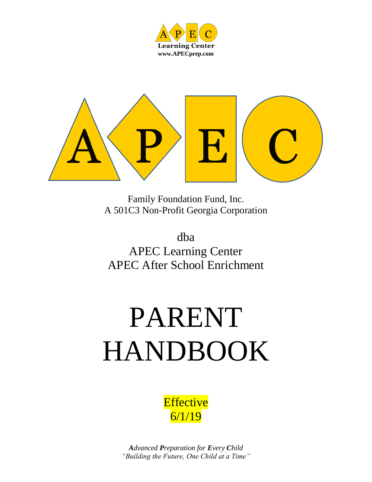



Family Foundation Fund, Inc. A 501C3 Non-Profit Georgia Corporation

dba APEC Learning Center APEC After School Enrichment

# PARENT HANDBOOK

**Effective** 6/1/19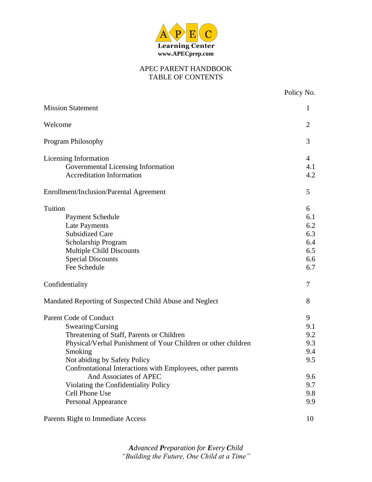

#### APEC PARENT HANDBOOK TABLE OF CONTENTS

Policy No.

| <b>Mission Statement</b>                                      | $\mathbf{1}$   |
|---------------------------------------------------------------|----------------|
| Welcome                                                       | 2              |
| <b>Program Philosophy</b>                                     | 3              |
| Licensing Information                                         | $\overline{4}$ |
| Governmental Licensing Information                            | 4.1            |
| <b>Accreditation Information</b>                              | 4.2            |
| <b>Enrollment/Inclusion/Parental Agreement</b>                | 5              |
| <b>Tuition</b>                                                | 6              |
| Payment Schedule                                              | 6.1            |
| <b>Late Payments</b>                                          | 6.2            |
| <b>Subsidized Care</b>                                        | 6.3            |
| Scholarship Program                                           | 6.4            |
| <b>Multiple Child Discounts</b>                               | 6.5            |
| <b>Special Discounts</b>                                      | 6.6            |
| Fee Schedule                                                  | 6.7            |
| Confidentiality                                               | 7              |
| Mandated Reporting of Suspected Child Abuse and Neglect       | 8              |
| <b>Parent Code of Conduct</b>                                 | 9              |
| Swearing/Cursing                                              | 9.1            |
| Threatening of Staff, Parents or Children                     | 9.2            |
| Physical/Verbal Punishment of Your Children or other children | 9.3            |
| Smoking                                                       | 9.4            |
| Not abiding by Safety Policy                                  | 9.5            |
| Confrontational Interactions with Employees, other parents    |                |
| And Associates of APEC                                        | 9.6            |
| Violating the Confidentiality Policy                          | 9.7            |
| Cell Phone Use                                                | 9.8            |
| <b>Personal Appearance</b>                                    | 9.9            |
|                                                               |                |

Parents Right to Immediate Access 10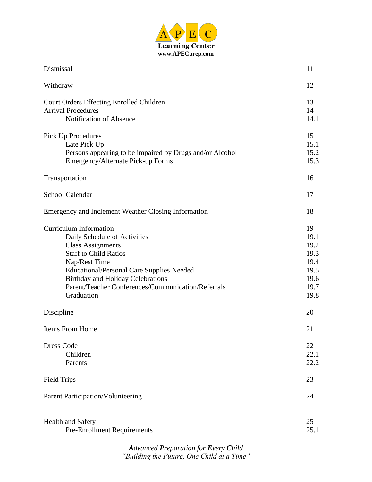

| Dismissal                                                                                                                                                                                                                                                                                                      | 11                                                                 |
|----------------------------------------------------------------------------------------------------------------------------------------------------------------------------------------------------------------------------------------------------------------------------------------------------------------|--------------------------------------------------------------------|
| Withdraw                                                                                                                                                                                                                                                                                                       | 12                                                                 |
| Court Orders Effecting Enrolled Children<br><b>Arrival Procedures</b><br>Notification of Absence                                                                                                                                                                                                               | 13<br>14<br>14.1                                                   |
| Pick Up Procedures<br>Late Pick Up<br>Persons appearing to be impaired by Drugs and/or Alcohol<br>Emergency/Alternate Pick-up Forms                                                                                                                                                                            | 15<br>15.1<br>15.2<br>15.3                                         |
| Transportation                                                                                                                                                                                                                                                                                                 | 16                                                                 |
| School Calendar                                                                                                                                                                                                                                                                                                | 17                                                                 |
| Emergency and Inclement Weather Closing Information                                                                                                                                                                                                                                                            | 18                                                                 |
| <b>Curriculum Information</b><br>Daily Schedule of Activities<br><b>Class Assignments</b><br><b>Staff to Child Ratios</b><br>Nap/Rest Time<br><b>Educational/Personal Care Supplies Needed</b><br><b>Birthday and Holiday Celebrations</b><br>Parent/Teacher Conferences/Communication/Referrals<br>Graduation | 19<br>19.1<br>19.2<br>19.3<br>19.4<br>19.5<br>19.6<br>19.7<br>19.8 |
| Discipline                                                                                                                                                                                                                                                                                                     | 20                                                                 |
| Items From Home                                                                                                                                                                                                                                                                                                | 21                                                                 |
| <b>Dress Code</b><br>Children<br>Parents                                                                                                                                                                                                                                                                       | 22<br>22.1<br>22.2                                                 |
| <b>Field Trips</b>                                                                                                                                                                                                                                                                                             | 23                                                                 |
| Parent Participation/Volunteering                                                                                                                                                                                                                                                                              | 24                                                                 |
| <b>Health and Safety</b><br><b>Pre-Enrollment Requirements</b>                                                                                                                                                                                                                                                 | 25<br>25.1                                                         |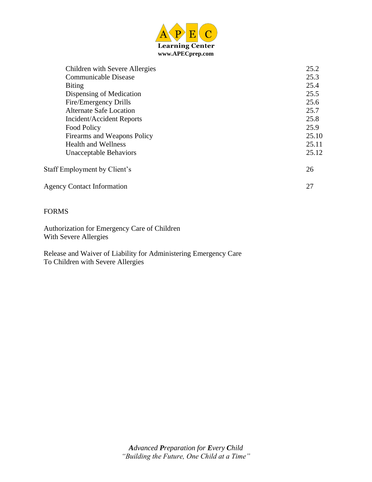

| Children with Severe Allergies    | 25.2  |
|-----------------------------------|-------|
| Communicable Disease              | 25.3  |
| <b>Biting</b>                     | 25.4  |
| Dispensing of Medication          | 25.5  |
| Fire/Emergency Drills             | 25.6  |
| <b>Alternate Safe Location</b>    | 25.7  |
| Incident/Accident Reports         | 25.8  |
| Food Policy                       | 25.9  |
| Firearms and Weapons Policy       | 25.10 |
| <b>Health and Wellness</b>        | 25.11 |
| <b>Unacceptable Behaviors</b>     | 25.12 |
| Staff Employment by Client's      | 26    |
| <b>Agency Contact Information</b> | 27    |

#### FORMS

Authorization for Emergency Care of Children With Severe Allergies

Release and Waiver of Liability for Administering Emergency Care To Children with Severe Allergies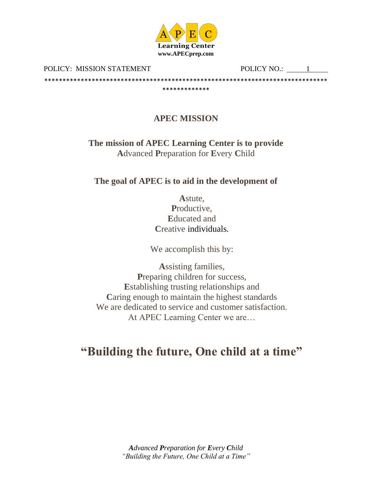

POLICY: MISSION STATEMENT

POLICY NO.: 1

**APEC MISSION** 

\*\*\*\*\*\*\*\*\*\*\*\*\*

> The mission of APEC Learning Center is to provide **Advanced Preparation for Every Child**

The goal of APEC is to aid in the development of

Astute. Productive. **Educated and** Creative individuals.

We accomplish this by:

**Assisting families,** Preparing children for success, Establishing trusting relationships and Caring enough to maintain the highest standards We are dedicated to service and customer satisfaction. At APEC Learning Center we are...

# "Building the future, One child at a time"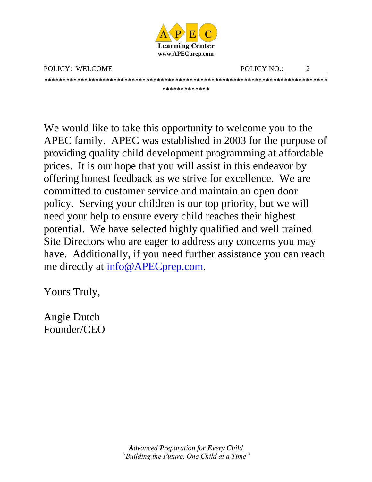

\*\*\*\*\*\*\*\*\*\*\*\*\*\*\*\*\*\*\*\*\*\*\*\*\*\*\*\*\*\*\*\*\*\*\*\*\*\*\*\*\*\*\*\*\*\*\*\*\*\*\*\*\*\*\*\*\*\*\*\*\*\*\*\*\*\*\*\*\*\*\*\*\*\*\*\*\*\* \*\*\*\*\*\*\*\*\*\*\*\*\*

POLICY: WELCOME POLICY NO.: 2

We would like to take this opportunity to welcome you to the APEC family. APEC was established in 2003 for the purpose of providing quality child development programming at affordable prices. It is our hope that you will assist in this endeavor by offering honest feedback as we strive for excellence. We are committed to customer service and maintain an open door policy. Serving your children is our top priority, but we will need your help to ensure every child reaches their highest potential. We have selected highly qualified and well trained Site Directors who are eager to address any concerns you may have. Additionally, if you need further assistance you can reach me directly at [info@APECprep.com.](mailto:info@APECprep.com)

Yours Truly,

Angie Dutch Founder/CEO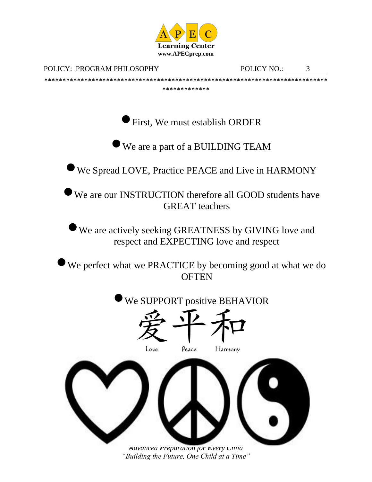

POLICY: PROGRAM PHILOSOPHY

\*\*\*\*\*\*\*\*\*\*\*\*\*\*\*\*\*\*\*\*\*\*\*\*\*\*\*\*

POLICY NO.: 3

First, We must establish ORDER

We are a part of a BUILDING TEAM

We Spread LOVE, Practice PEACE and Live in HARMONY

We are our INSTRUCTION therefore all GOOD students have **GREAT** teachers

We are actively seeking GREATNESS by GIVING love and respect and EXPECTING love and respect

We perfect what we PRACTICE by becoming good at what we do **OFTEN** 

We SUPPORT positive BEHAVIOR Peace Love Harmony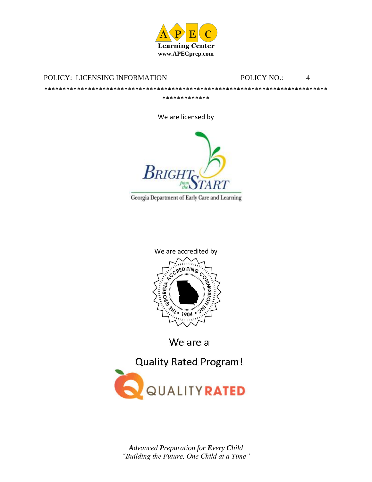

POLICY: LICENSING INFORMATION

\*\*\*\*\*\*\*\*\*\*\*\*\*\*\*\*\*\*\*\*\*\*\*\*\*\*\*\*\*\*\*\*\*\*\*

POLICY NO.: 4

\*\*\*\*\*\*\*\*\*\*\*\*\*\*\*\*\*\*\*\*\*\*\*\*\*\*\*\*\*\*\*\*\*\*\*\*\*

We are licensed by



Georgia Department of Early Care and Learning



We are a

**Quality Rated Program!** 

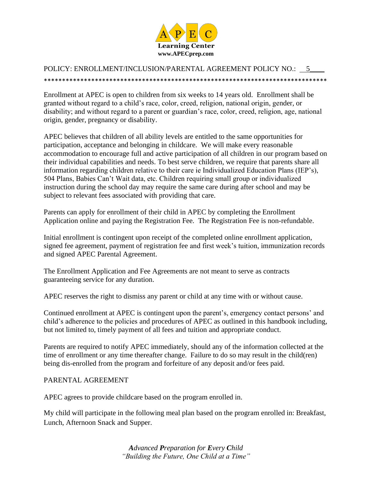

#### POLICY: ENROLLMENT/INCLUSION/PARENTAL AGREEMENT POLICY NO.: 5\_\_\_\_ \*\*\*\*\*\*\*\*\*\*\*\*\*\*\*\*\*\*\*\*\*\*\*\*\*\*\*\*\*\*\*\*\*\*\*\*\*\*\*\*\*\*\*\*\*\*\*\*\*\*\*\*\*\*\*\*\*\*\*\*\*\*\*\*\*\*\*\*\*\*\*\*\*\*\*\*\*\*

Enrollment at APEC is open to children from six weeks to 14 years old. Enrollment shall be granted without regard to a child's race, color, creed, religion, national origin, gender, or disability; and without regard to a parent or guardian's race, color, creed, religion, age, national origin, gender, pregnancy or disability.

APEC believes that children of all ability levels are entitled to the same opportunities for participation, acceptance and belonging in childcare. We will make every reasonable accommodation to encourage full and active participation of all children in our program based on their individual capabilities and needs. To best serve children, we require that parents share all information regarding children relative to their care ie Individualized Education Plans (IEP's), 504 Plans, Babies Can't Wait data, etc. Children requiring small group or individualized instruction during the school day may require the same care during after school and may be subject to relevant fees associated with providing that care.

Parents can apply for enrollment of their child in APEC by completing the Enrollment Application online and paying the Registration Fee. The Registration Fee is non-refundable.

Initial enrollment is contingent upon receipt of the completed online enrollment application, signed fee agreement, payment of registration fee and first week's tuition, immunization records and signed APEC Parental Agreement.

The Enrollment Application and Fee Agreements are not meant to serve as contracts guaranteeing service for any duration.

APEC reserves the right to dismiss any parent or child at any time with or without cause.

Continued enrollment at APEC is contingent upon the parent's, emergency contact persons' and child's adherence to the policies and procedures of APEC as outlined in this handbook including, but not limited to, timely payment of all fees and tuition and appropriate conduct.

Parents are required to notify APEC immediately, should any of the information collected at the time of enrollment or any time thereafter change. Failure to do so may result in the child(ren) being dis-enrolled from the program and forfeiture of any deposit and/or fees paid.

#### PARENTAL AGREEMENT

APEC agrees to provide childcare based on the program enrolled in.

My child will participate in the following meal plan based on the program enrolled in: Breakfast, Lunch, Afternoon Snack and Supper.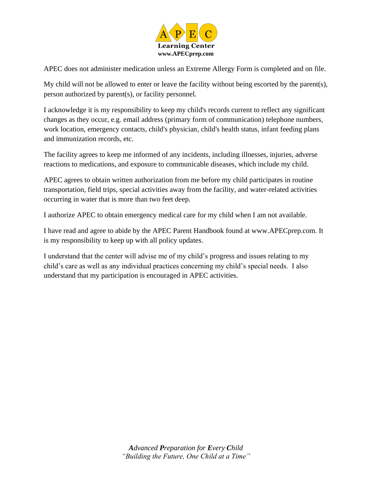

APEC does not administer medication unless an Extreme Allergy Form is completed and on file.

My child will not be allowed to enter or leave the facility without being escorted by the parent(s), person authorized by parent(s), or facility personnel.

I acknowledge it is my responsibility to keep my child's records current to reflect any significant changes as they occur, e.g. email address (primary form of communication) telephone numbers, work location, emergency contacts, child's physician, child's health status, infant feeding plans and immunization records, etc.

The facility agrees to keep me informed of any incidents, including illnesses, injuries, adverse reactions to medications, and exposure to communicable diseases, which include my child.

APEC agrees to obtain written authorization from me before my child participates in routine transportation, field trips, special activities away from the facility, and water-related activities occurring in water that is more than two feet deep.

I authorize APEC to obtain emergency medical care for my child when I am not available.

I have read and agree to abide by the APEC Parent Handbook found at www.APECprep.com. It is my responsibility to keep up with all policy updates.

I understand that the center will advise me of my child's progress and issues relating to my child's care as well as any individual practices concerning my child's special needs. I also understand that my participation is encouraged in APEC activities.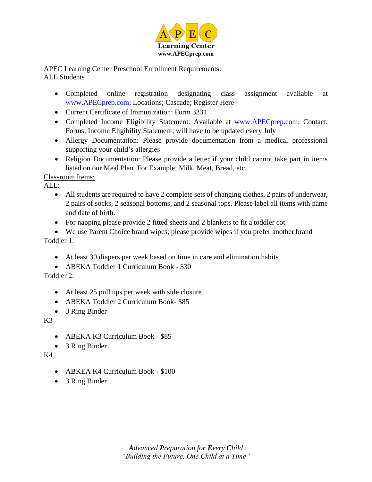

APEC Learning Center Preschool Enrollment Requirements: ALL Students

- Completed online registration designating class assignment available at [www.APECprep.com;](http://www.apecprep.com/) Locations; Cascade; Register Here
- Current Certificate of Immunization: Form 3231
- Completed Income Eligibility Statement: Available at [www.APECprep.com;](http://www.apecprep.com/) Contact; Forms; Income Eligibility Statement; will have to be updated every July
- Allergy Documentation: Please provide documentation from a medical professional supporting your child's allergies
- Religion Documentation: Please provide a letter if your child cannot take part in items listed on our Meal Plan. For Example: Milk, Meat, Bread, etc.

Classroom Items:

 $AI.$ 

- All students are required to have 2 complete sets of changing clothes, 2 pairs of underwear, 2 pairs of socks, 2 seasonal bottoms, and 2 seasonal tops. Please label all items with name and date of birth.
- For napping please provide 2 fitted sheets and 2 blankets to fit a toddler cot.

• We use Parent Choice brand wipes; please provide wipes if you prefer another brand Toddler 1:

- At least 30 diapers per week based on time in care and elimination habits
- ABEKA Toddler 1 Curriculum Book \$30

Toddler 2:

- At least 25 pull ups per week with side closure
- ABEKA Toddler 2 Curriculum Book- \$85
- 3 Ring Binder

K3

- ABEKA K3 Curriculum Book \$85
- 3 Ring Binder

K4

- ABKEA K4 Curriculum Book \$100
- 3 Ring Binder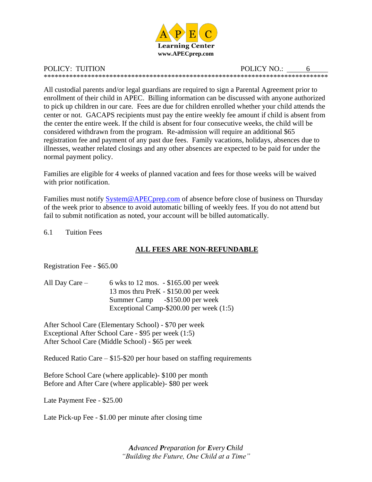

POLICY: TUITION POLICY NO.: \*\*\*\*\*\*\*\*\*\*\*\*\*\*\*\*\*\*\*\*\*\*\*\*\*\*\*\*\*\*\*\*\*\*\*\*\*\*\*\*\*\*\*\*\*\*\*\*\*\*\*\*\*\*\*\*\*\*\*\*\*\*\*\*\*\*\*\*\*\*\*\*\*\*\*\*\*\*

All custodial parents and/or legal guardians are required to sign a Parental Agreement prior to enrollment of their child in APEC. Billing information can be discussed with anyone authorized to pick up children in our care. Fees are due for children enrolled whether your child attends the center or not. GACAPS recipients must pay the entire weekly fee amount if child is absent from the center the entire week. If the child is absent for four consecutive weeks, the child will be considered withdrawn from the program. Re-admission will require an additional \$65 registration fee and payment of any past due fees. Family vacations, holidays, absences due to illnesses, weather related closings and any other absences are expected to be paid for under the normal payment policy.

Families are eligible for 4 weeks of planned vacation and fees for those weeks will be waived with prior notification.

Families must notify [System@APECprep.com](mailto:System@APECprep.com) of absence before close of business on Thursday of the week prior to absence to avoid automatic billing of weekly fees. If you do not attend but fail to submit notification as noted, your account will be billed automatically.

6.1 Tuition Fees

#### **ALL FEES ARE NON-REFUNDABLE**

Registration Fee - \$65.00

| All Day Care $-$ | 6 wks to 12 mos. $-$ \$165.00 per week     |
|------------------|--------------------------------------------|
|                  | 13 mos thru PreK - \$150.00 per week       |
|                  | Summer Camp -\$150.00 per week             |
|                  | Exceptional Camp- $$200.00$ per week (1:5) |

After School Care (Elementary School) - \$70 per week Exceptional After School Care - \$95 per week (1:5) After School Care (Middle School) - \$65 per week

Reduced Ratio Care – \$15-\$20 per hour based on staffing requirements

Before School Care (where applicable)- \$100 per month Before and After Care (where applicable)- \$80 per week

Late Payment Fee - \$25.00

Late Pick-up Fee - \$1.00 per minute after closing time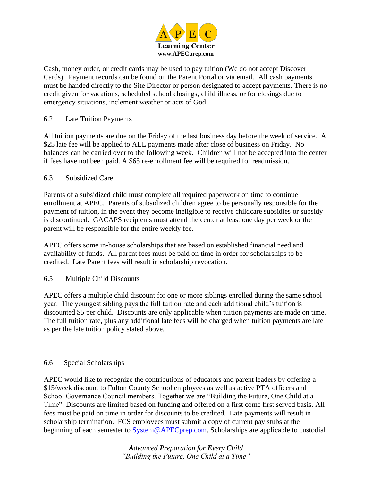

Cash, money order, or credit cards may be used to pay tuition (We do not accept Discover Cards). Payment records can be found on the Parent Portal or via email. All cash payments must be handed directly to the Site Director or person designated to accept payments. There is no credit given for vacations, scheduled school closings, child illness, or for closings due to emergency situations, inclement weather or acts of God.

#### 6.2 Late Tuition Payments

All tuition payments are due on the Friday of the last business day before the week of service. A \$25 late fee will be applied to ALL payments made after close of business on Friday. No balances can be carried over to the following week. Children will not be accepted into the center if fees have not been paid. A \$65 re-enrollment fee will be required for readmission.

#### 6.3 Subsidized Care

Parents of a subsidized child must complete all required paperwork on time to continue enrollment at APEC. Parents of subsidized children agree to be personally responsible for the payment of tuition, in the event they become ineligible to receive childcare subsidies or subsidy is discontinued. GACAPS recipients must attend the center at least one day per week or the parent will be responsible for the entire weekly fee.

APEC offers some in-house scholarships that are based on established financial need and availability of funds. All parent fees must be paid on time in order for scholarships to be credited. Late Parent fees will result in scholarship revocation.

#### 6.5 Multiple Child Discounts

APEC offers a multiple child discount for one or more siblings enrolled during the same school year. The youngest sibling pays the full tuition rate and each additional child's tuition is discounted \$5 per child. Discounts are only applicable when tuition payments are made on time. The full tuition rate, plus any additional late fees will be charged when tuition payments are late as per the late tuition policy stated above.

#### 6.6 Special Scholarships

APEC would like to recognize the contributions of educators and parent leaders by offering a \$15/week discount to Fulton County School employees as well as active PTA officers and School Governance Council members. Together we are "Building the Future, One Child at a Time". Discounts are limited based on funding and offered on a first come first served basis. All fees must be paid on time in order for discounts to be credited. Late payments will result in scholarship termination. FCS employees must submit a copy of current pay stubs at the beginning of each semester to [System@APECprep.com.](mailto:System@APECprep.com) Scholarships are applicable to custodial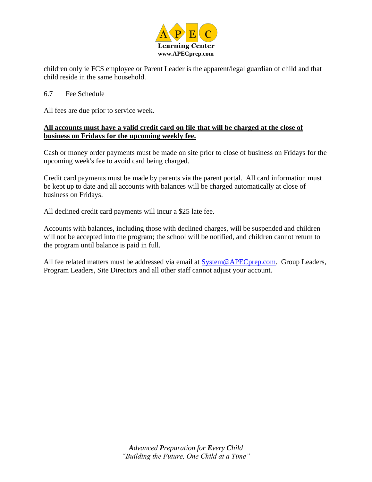

children only ie FCS employee or Parent Leader is the apparent/legal guardian of child and that child reside in the same household.

#### 6.7 Fee Schedule

All fees are due prior to service week.

#### **All accounts must have a valid credit card on file that will be charged at the close of business on Fridays for the upcoming weekly fee.**

Cash or money order payments must be made on site prior to close of business on Fridays for the upcoming week's fee to avoid card being charged.

Credit card payments must be made by parents via the parent portal. All card information must be kept up to date and all accounts with balances will be charged automatically at close of business on Fridays.

All declined credit card payments will incur a \$25 late fee.

Accounts with balances, including those with declined charges, will be suspended and children will not be accepted into the program; the school will be notified, and children cannot return to the program until balance is paid in full.

All fee related matters must be addressed via email at **System@APECprep.com.** Group Leaders, Program Leaders, Site Directors and all other staff cannot adjust your account.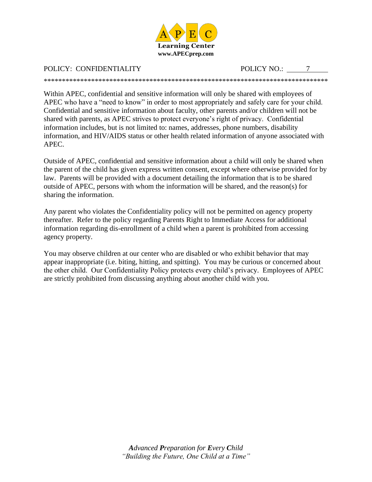

## POLICY: CONFIDENTIALITY POLICY NO.: 7

\*\*\*\*\*\*\*\*\*\*\*\*\*\*\*\*\*\*\*\*\*\*\*\*\*\*\*\*\*\*\*\*\*\*\*\*\*\*\*\*\*\*\*\*\*\*\*\*\*\*\*\*\*\*\*\*\*\*\*\*\*\*\*\*\*\*\*\*\*\*\*\*\*\*\*\*\*\*

Within APEC, confidential and sensitive information will only be shared with employees of APEC who have a "need to know" in order to most appropriately and safely care for your child. Confidential and sensitive information about faculty, other parents and/or children will not be shared with parents, as APEC strives to protect everyone's right of privacy. Confidential information includes, but is not limited to: names, addresses, phone numbers, disability information, and HIV/AIDS status or other health related information of anyone associated with APEC.

Outside of APEC, confidential and sensitive information about a child will only be shared when the parent of the child has given express written consent, except where otherwise provided for by law. Parents will be provided with a document detailing the information that is to be shared outside of APEC, persons with whom the information will be shared, and the reason(s) for sharing the information.

Any parent who violates the Confidentiality policy will not be permitted on agency property thereafter. Refer to the policy regarding Parents Right to Immediate Access for additional information regarding dis-enrollment of a child when a parent is prohibited from accessing agency property.

You may observe children at our center who are disabled or who exhibit behavior that may appear inappropriate (i.e. biting, hitting, and spitting). You may be curious or concerned about the other child. Our Confidentiality Policy protects every child's privacy. Employees of APEC are strictly prohibited from discussing anything about another child with you.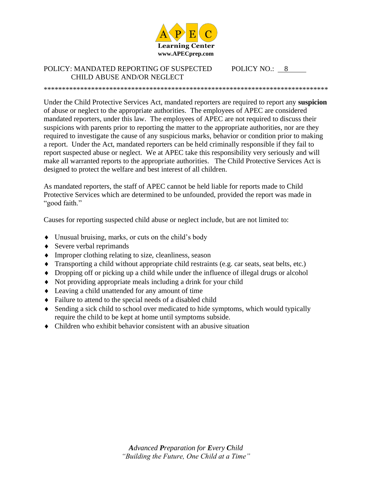

#### POLICY: MANDATED REPORTING OF SUSPECTED POLICY NO.: 8 CHILD ABUSE AND/OR NEGLECT

Under the Child Protective Services Act, mandated reporters are required to report any **suspicion** of abuse or neglect to the appropriate authorities. The employees of APEC are considered mandated reporters, under this law. The employees of APEC are not required to discuss their suspicions with parents prior to reporting the matter to the appropriate authorities, nor are they required to investigate the cause of any suspicious marks, behavior or condition prior to making a report. Under the Act, mandated reporters can be held criminally responsible if they fail to report suspected abuse or neglect. We at APEC take this responsibility very seriously and will make all warranted reports to the appropriate authorities. The Child Protective Services Act is designed to protect the welfare and best interest of all children.

\*\*\*\*\*\*\*\*\*\*\*\*\*\*\*\*\*\*\*\*\*\*\*\*\*\*\*\*\*\*\*\*\*\*\*\*\*\*\*\*\*\*\*\*\*\*\*\*\*\*\*\*\*\*\*\*\*\*\*\*\*\*\*\*\*\*\*\*\*\*\*\*\*\*\*\*\*\*

As mandated reporters, the staff of APEC cannot be held liable for reports made to Child Protective Services which are determined to be unfounded, provided the report was made in "good faith."

Causes for reporting suspected child abuse or neglect include, but are not limited to:

- Unusual bruising, marks, or cuts on the child's body
- ◆ Severe verbal reprimands
- Improper clothing relating to size, cleanliness, season
- Transporting a child without appropriate child restraints (e.g. car seats, seat belts, etc.)
- Dropping off or picking up a child while under the influence of illegal drugs or alcohol
- Not providing appropriate meals including a drink for your child
- Leaving a child unattended for any amount of time
- Failure to attend to the special needs of a disabled child
- Sending a sick child to school over medicated to hide symptoms, which would typically require the child to be kept at home until symptoms subside.
- Children who exhibit behavior consistent with an abusive situation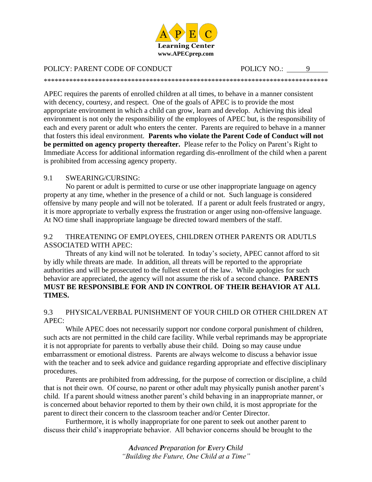

\*\*\*\*\*\*\*\*\*\*\*\*\*\*\*\*\*\*\*\*\*\*\*\*\*\*\*\*\*\*\*\*\*\*\*\*\*\*\*\*\*\*\*\*\*\*\*\*\*\*\*\*\*\*\*\*\*\*\*\*\*\*\*\*\*\*\*\*\*\*\*\*\*\*\*\*\*\*

#### POLICY: PARENT CODE OF CONDUCT POLICY NO.: 9

APEC requires the parents of enrolled children at all times, to behave in a manner consistent with decency, courtesy, and respect. One of the goals of APEC is to provide the most appropriate environment in which a child can grow, learn and develop. Achieving this ideal environment is not only the responsibility of the employees of APEC but, is the responsibility of each and every parent or adult who enters the center. Parents are required to behave in a manner that fosters this ideal environment. **Parents who violate the Parent Code of Conduct will not be permitted on agency property thereafter.** Please refer to the Policy on Parent's Right to Immediate Access for additional information regarding dis-enrollment of the child when a parent is prohibited from accessing agency property.

#### 9.1 SWEARING/CURSING:

No parent or adult is permitted to curse or use other inappropriate language on agency property at any time, whether in the presence of a child or not. Such language is considered offensive by many people and will not be tolerated. If a parent or adult feels frustrated or angry, it is more appropriate to verbally express the frustration or anger using non-offensive language. At NO time shall inappropriate language be directed toward members of the staff.

#### 9.2 THREATENING OF EMPLOYEES, CHILDREN OTHER PARENTS OR ADUTLS ASSOCIATED WITH APEC:

Threats of any kind will not be tolerated. In today's society, APEC cannot afford to sit by idly while threats are made. In addition, all threats will be reported to the appropriate authorities and will be prosecuted to the fullest extent of the law. While apologies for such behavior are appreciated, the agency will not assume the risk of a second chance. **PARENTS MUST BE RESPONSIBLE FOR AND IN CONTROL OF THEIR BEHAVIOR AT ALL TIMES.** 

#### 9.3 PHYSICAL/VERBAL PUNISHMENT OF YOUR CHILD OR OTHER CHILDREN AT APEC:

While APEC does not necessarily support nor condone corporal punishment of children, such acts are not permitted in the child care facility. While verbal reprimands may be appropriate it is not appropriate for parents to verbally abuse their child. Doing so may cause undue embarrassment or emotional distress. Parents are always welcome to discuss a behavior issue with the teacher and to seek advice and guidance regarding appropriate and effective disciplinary procedures.

Parents are prohibited from addressing, for the purpose of correction or discipline, a child that is not their own. Of course, no parent or other adult may physically punish another parent's child. If a parent should witness another parent's child behaving in an inappropriate manner, or is concerned about behavior reported to them by their own child, it is most appropriate for the parent to direct their concern to the classroom teacher and/or Center Director.

Furthermore, it is wholly inappropriate for one parent to seek out another parent to discuss their child's inappropriate behavior. All behavior concerns should be brought to the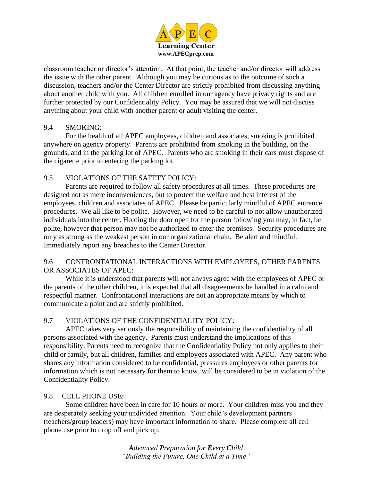

classroom teacher or director's attention. At that point, the teacher and/or director will address the issue with the other parent. Although you may be curious as to the outcome of such a discussion, teachers and/or the Center Director are strictly prohibited from discussing anything about another child with you. All children enrolled in our agency have privacy rights and are further protected by our Confidentiality Policy. You may be assured that we will not discuss anything about your child with another parent or adult visiting the center.

#### 9.4 SMOKING:

For the health of all APEC employees, children and associates, smoking is prohibited anywhere on agency property. Parents are prohibited from smoking in the building, on the grounds, and in the parking lot of APEC. Parents who are smoking in their cars must dispose of the cigarette prior to entering the parking lot.

#### 9.5 VIOLATIONS OF THE SAFETY POLICY:

Parents are required to follow all safety procedures at all times. These procedures are designed not as mere inconveniences, but to protect the welfare and best interest of the employees, children and associates of APEC. Please be particularly mindful of APEC entrance procedures. We all like to be polite. However, we need to be careful to not allow unauthorized individuals into the center. Holding the door open for the person following you may, in fact, be polite, however that person may not be authorized to enter the premises. Security procedures are only as strong as the weakest person in our organizational chain. Be alert and mindful. Immediately report any breaches to the Center Director.

#### 9.6 CONFRONTATIONAL INTERACTIONS WITH EMPLOYEES, OTHER PARENTS OR ASSOCIATES OF APEC:

While it is understood that parents will not always agree with the employees of APEC or the parents of the other children, it is expected that all disagreements be handled in a calm and respectful manner. Confrontational interactions are not an appropriate means by which to communicate a point and are strictly prohibited.

#### 9.7 VIOLATIONS OF THE CONFIDENTIALITY POLICY:

APEC takes very seriously the responsibility of maintaining the confidentiality of all persons associated with the agency. Parents must understand the implications of this responsibility. Parents need to recognize that the Confidentiality Policy not only applies to their child or family, but all children, families and employees associated with APEC. Any parent who shares any information considered to be confidential, pressures employees or other parents for information which is not necessary for them to know, will be considered to be in violation of the Confidentiality Policy.

#### 9.8 CELL PHONE USE:

Some children have been in care for 10 hours or more. Your children miss you and they are desperately seeking your undivided attention. Your child's development partners (teachers/group leaders) may have important information to share. Please complete all cell phone use prior to drop off and pick up.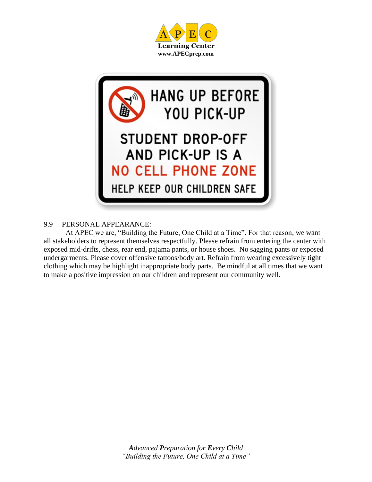



#### 9.9 PERSONAL APPEARANCE:

At APEC we are, "Building the Future, One Child at a Time". For that reason, we want all stakeholders to represent themselves respectfully. Please refrain from entering the center with exposed mid-drifts, chess, rear end, pajama pants, or house shoes. No sagging pants or exposed undergarments. Please cover offensive tattoos/body art. Refrain from wearing excessively tight clothing which may be highlight inappropriate body parts. Be mindful at all times that we want to make a positive impression on our children and represent our community well.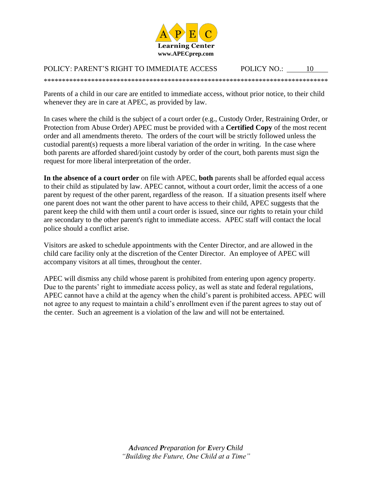

#### POLICY: PARENT'S RIGHT TO IMMEDIATE ACCESS POLICY NO.: 10

\*\*\*\*\*\*\*\*\*\*\*\*\*\*\*\*\*\*\*\*\*\*\*\*\*\*\*\*\*\*\*\*\*\*\*\*\*\*\*\*\*\*\*\*\*\*\*\*\*\*\*\*\*\*\*\*\*\*\*\*\*\*\*\*\*\*\*\*\*\*\*\*\*\*\*\*\*\*

Parents of a child in our care are entitled to immediate access, without prior notice, to their child whenever they are in care at APEC, as provided by law.

In cases where the child is the subject of a court order (e.g., Custody Order, Restraining Order, or Protection from Abuse Order) APEC must be provided with a **Certified Copy** of the most recent order and all amendments thereto. The orders of the court will be strictly followed unless the custodial parent(s) requests a more liberal variation of the order in writing. In the case where both parents are afforded shared/joint custody by order of the court, both parents must sign the request for more liberal interpretation of the order.

**In the absence of a court order** on file with APEC, **both** parents shall be afforded equal access to their child as stipulated by law. APEC cannot, without a court order, limit the access of a one parent by request of the other parent, regardless of the reason. If a situation presents itself where one parent does not want the other parent to have access to their child, APEC suggests that the parent keep the child with them until a court order is issued, since our rights to retain your child are secondary to the other parent's right to immediate access. APEC staff will contact the local police should a conflict arise.

Visitors are asked to schedule appointments with the Center Director, and are allowed in the child care facility only at the discretion of the Center Director. An employee of APEC will accompany visitors at all times, throughout the center.

APEC will dismiss any child whose parent is prohibited from entering upon agency property. Due to the parents' right to immediate access policy, as well as state and federal regulations, APEC cannot have a child at the agency when the child's parent is prohibited access. APEC will not agree to any request to maintain a child's enrollment even if the parent agrees to stay out of the center. Such an agreement is a violation of the law and will not be entertained.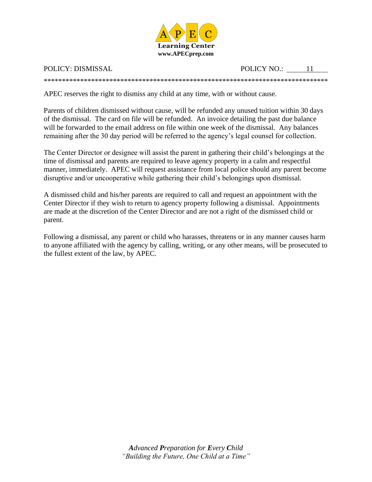

POLICY: DISMISSAL POLICY NO.: 11

\*\*\*\*\*\*\*\*\*\*\*\*\*\*\*\*\*\*\*\*\*\*\*\*\*\*\*\*\*\*\*\*\*\*\*\*\*\*\*\*\*\*\*\*\*\*\*\*\*\*\*\*\*\*\*\*\*\*\*\*\*\*\*\*\*\*\*\*\*\*\*\*\*\*\*\*\*\*

APEC reserves the right to dismiss any child at any time, with or without cause.

Parents of children dismissed without cause, will be refunded any unused tuition within 30 days of the dismissal. The card on file will be refunded. An invoice detailing the past due balance will be forwarded to the email address on file within one week of the dismissal. Any balances remaining after the 30 day period will be referred to the agency's legal counsel for collection.

The Center Director or designee will assist the parent in gathering their child's belongings at the time of dismissal and parents are required to leave agency property in a calm and respectful manner, immediately. APEC will request assistance from local police should any parent become disruptive and/or uncooperative while gathering their child's belongings upon dismissal.

A dismissed child and his/her parents are required to call and request an appointment with the Center Director if they wish to return to agency property following a dismissal. Appointments are made at the discretion of the Center Director and are not a right of the dismissed child or parent.

Following a dismissal, any parent or child who harasses, threatens or in any manner causes harm to anyone affiliated with the agency by calling, writing, or any other means, will be prosecuted to the fullest extent of the law, by APEC.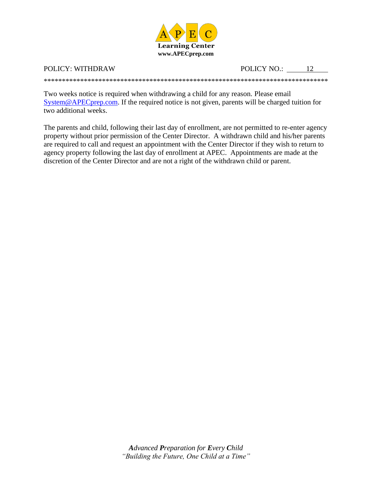

#### POLICY: WITHDRAW

POLICY NO.: 12

Two weeks notice is required when withdrawing a child for any reason. Please email  $System@APECprep.com$ . If the required notice is not given, parents will be charged tuition for two additional weeks.

The parents and child, following their last day of enrollment, are not permitted to re-enter agency property without prior permission of the Center Director. A withdrawn child and his/her parents are required to call and request an appointment with the Center Director if they wish to return to agency property following the last day of enrollment at APEC. Appointments are made at the discretion of the Center Director and are not a right of the withdrawn child or parent.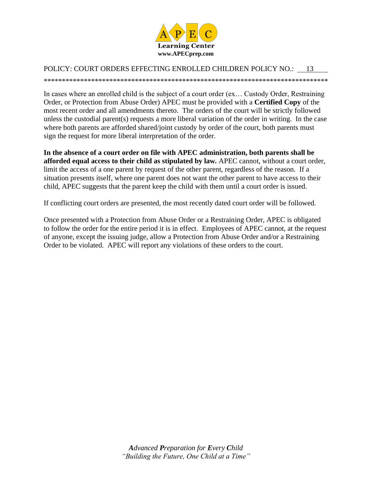

#### POLICY: COURT ORDERS EFFECTING ENROLLED CHILDREN POLICY NO.: 13

In cases where an enrolled child is the subject of a court order (ex... Custody Order, Restraining Order, or Protection from Abuse Order) APEC must be provided with a Certified Copy of the most recent order and all amendments thereto. The orders of the court will be strictly followed unless the custodial parent(s) requests a more liberal variation of the order in writing. In the case where both parents are afforded shared/joint custody by order of the court, both parents must sign the request for more liberal interpretation of the order.

In the absence of a court order on file with APEC administration, both parents shall be afforded equal access to their child as stipulated by law. APEC cannot, without a court order, limit the access of a one parent by request of the other parent, regardless of the reason. If a situation presents itself, where one parent does not want the other parent to have access to their child, APEC suggests that the parent keep the child with them until a court order is issued.

If conflicting court orders are presented, the most recently dated court order will be followed.

Once presented with a Protection from Abuse Order or a Restraining Order, APEC is obligated to follow the order for the entire period it is in effect. Employees of APEC cannot, at the request of anyone, except the issuing judge, allow a Protection from Abuse Order and/or a Restraining Order to be violated. APEC will report any violations of these orders to the court.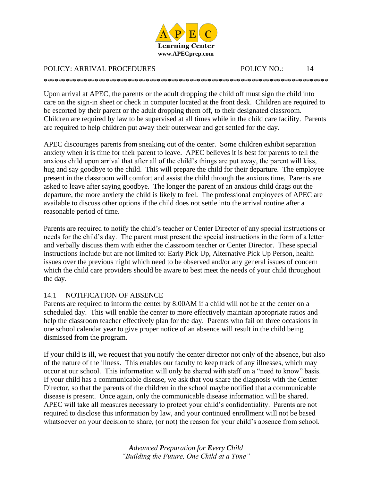

#### POLICY: ARRIVAL PROCEDURES POLICY NO.: 14

Upon arrival at APEC, the parents or the adult dropping the child off must sign the child into care on the sign-in sheet or check in computer located at the front desk. Children are required to be escorted by their parent or the adult dropping them off, to their designated classroom. Children are required by law to be supervised at all times while in the child care facility. Parents are required to help children put away their outerwear and get settled for the day.

\*\*\*\*\*\*\*\*\*\*\*\*\*\*\*\*\*\*\*\*\*\*\*\*\*\*\*\*\*\*\*\*\*\*\*\*\*\*\*\*\*\*\*\*\*\*\*\*\*\*\*\*\*\*\*\*\*\*\*\*\*\*\*\*\*\*\*\*\*\*\*\*\*\*\*\*\*\*

APEC discourages parents from sneaking out of the center. Some children exhibit separation anxiety when it is time for their parent to leave. APEC believes it is best for parents to tell the anxious child upon arrival that after all of the child's things are put away, the parent will kiss, hug and say goodbye to the child. This will prepare the child for their departure. The employee present in the classroom will comfort and assist the child through the anxious time. Parents are asked to leave after saying goodbye. The longer the parent of an anxious child drags out the departure, the more anxiety the child is likely to feel. The professional employees of APEC are available to discuss other options if the child does not settle into the arrival routine after a reasonable period of time.

Parents are required to notify the child's teacher or Center Director of any special instructions or needs for the child's day. The parent must present the special instructions in the form of a letter and verbally discuss them with either the classroom teacher or Center Director. These special instructions include but are not limited to: Early Pick Up, Alternative Pick Up Person, health issues over the previous night which need to be observed and/or any general issues of concern which the child care providers should be aware to best meet the needs of your child throughout the day.

#### 14.1 NOTIFICATION OF ABSENCE

Parents are required to inform the center by 8:00AM if a child will not be at the center on a scheduled day. This will enable the center to more effectively maintain appropriate ratios and help the classroom teacher effectively plan for the day. Parents who fail on three occasions in one school calendar year to give proper notice of an absence will result in the child being dismissed from the program.

If your child is ill, we request that you notify the center director not only of the absence, but also of the nature of the illness. This enables our faculty to keep track of any illnesses, which may occur at our school. This information will only be shared with staff on a "need to know" basis. If your child has a communicable disease, we ask that you share the diagnosis with the Center Director, so that the parents of the children in the school maybe notified that a communicable disease is present. Once again, only the communicable disease information will be shared. APEC will take all measures necessary to protect your child's confidentiality. Parents are not required to disclose this information by law, and your continued enrollment will not be based whatsoever on your decision to share, (or not) the reason for your child's absence from school.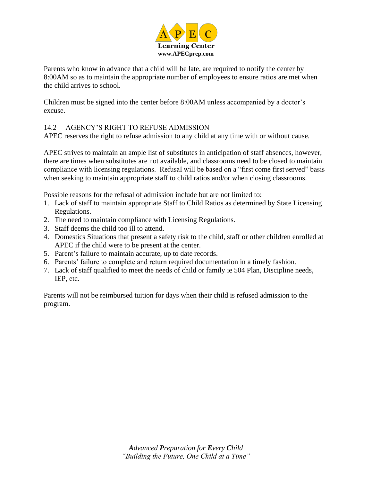

Parents who know in advance that a child will be late, are required to notify the center by 8:00AM so as to maintain the appropriate number of employees to ensure ratios are met when the child arrives to school.

Children must be signed into the center before 8:00AM unless accompanied by a doctor's excuse.

#### 14.2 AGENCY'S RIGHT TO REFUSE ADMISSION

APEC reserves the right to refuse admission to any child at any time with or without cause.

APEC strives to maintain an ample list of substitutes in anticipation of staff absences, however, there are times when substitutes are not available, and classrooms need to be closed to maintain compliance with licensing regulations. Refusal will be based on a "first come first served" basis when seeking to maintain appropriate staff to child ratios and/or when closing classrooms.

Possible reasons for the refusal of admission include but are not limited to:

- 1. Lack of staff to maintain appropriate Staff to Child Ratios as determined by State Licensing Regulations.
- 2. The need to maintain compliance with Licensing Regulations.
- 3. Staff deems the child too ill to attend.
- 4. Domestics Situations that present a safety risk to the child, staff or other children enrolled at APEC if the child were to be present at the center.
- 5. Parent's failure to maintain accurate, up to date records.
- 6. Parents' failure to complete and return required documentation in a timely fashion.
- 7. Lack of staff qualified to meet the needs of child or family ie 504 Plan, Discipline needs, IEP, etc.

Parents will not be reimbursed tuition for days when their child is refused admission to the program.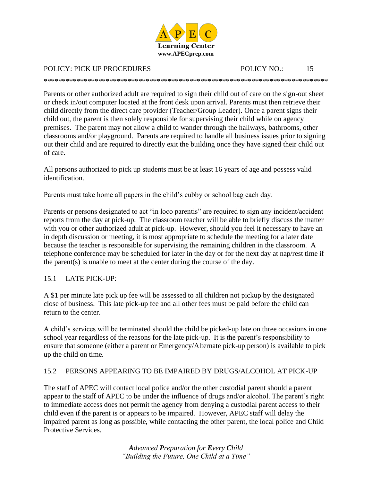

## POLICY: PICK UP PROCEDURES POLICY NO.: 15

\*\*\*\*\*\*\*\*\*\*\*\*\*\*\*\*\*\*\*\*\*\*\*\*\*\*\*\*\*\*\*\*\*\*\*\*\*\*\*\*\*\*\*\*\*\*\*\*\*\*\*\*\*\*\*\*\*\*\*\*\*\*\*\*\*\*\*\*\*\*\*\*\*\*\*\*\*\*

Parents or other authorized adult are required to sign their child out of care on the sign-out sheet or check in/out computer located at the front desk upon arrival. Parents must then retrieve their child directly from the direct care provider (Teacher/Group Leader). Once a parent signs their child out, the parent is then solely responsible for supervising their child while on agency premises. The parent may not allow a child to wander through the hallways, bathrooms, other classrooms and/or playground. Parents are required to handle all business issues prior to signing out their child and are required to directly exit the building once they have signed their child out of care.

All persons authorized to pick up students must be at least 16 years of age and possess valid identification.

Parents must take home all papers in the child's cubby or school bag each day.

Parents or persons designated to act "in loco parentis" are required to sign any incident/accident reports from the day at pick-up. The classroom teacher will be able to briefly discuss the matter with you or other authorized adult at pick-up. However, should you feel it necessary to have an in depth discussion or meeting, it is most appropriate to schedule the meeting for a later date because the teacher is responsible for supervising the remaining children in the classroom. A telephone conference may be scheduled for later in the day or for the next day at nap/rest time if the parent $(s)$  is unable to meet at the center during the course of the day.

#### 15.1 LATE PICK-UP:

A \$1 per minute late pick up fee will be assessed to all children not pickup by the designated close of business. This late pick-up fee and all other fees must be paid before the child can return to the center.

A child's services will be terminated should the child be picked-up late on three occasions in one school year regardless of the reasons for the late pick-up. It is the parent's responsibility to ensure that someone (either a parent or Emergency/Alternate pick-up person) is available to pick up the child on time.

#### 15.2 PERSONS APPEARING TO BE IMPAIRED BY DRUGS/ALCOHOL AT PICK-UP

The staff of APEC will contact local police and/or the other custodial parent should a parent appear to the staff of APEC to be under the influence of drugs and/or alcohol. The parent's right to immediate access does not permit the agency from denying a custodial parent access to their child even if the parent is or appears to be impaired. However, APEC staff will delay the impaired parent as long as possible, while contacting the other parent, the local police and Child Protective Services.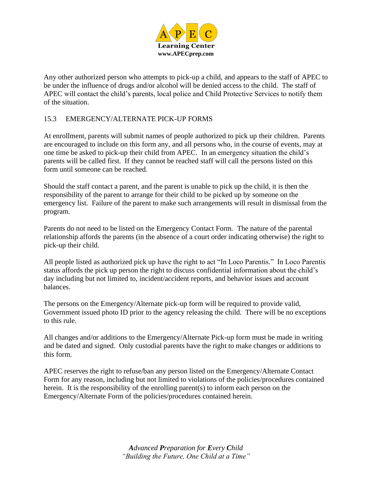

Any other authorized person who attempts to pick-up a child, and appears to the staff of APEC to be under the influence of drugs and/or alcohol will be denied access to the child. The staff of APEC will contact the child's parents, local police and Child Protective Services to notify them of the situation.

#### 15.3 EMERGENCY/ALTERNATE PICK-UP FORMS

At enrollment, parents will submit names of people authorized to pick up their children. Parents are encouraged to include on this form any, and all persons who, in the course of events, may at one time be asked to pick-up their child from APEC. In an emergency situation the child's parents will be called first. If they cannot be reached staff will call the persons listed on this form until someone can be reached.

Should the staff contact a parent, and the parent is unable to pick up the child, it is then the responsibility of the parent to arrange for their child to be picked up by someone on the emergency list. Failure of the parent to make such arrangements will result in dismissal from the program.

Parents do not need to be listed on the Emergency Contact Form. The nature of the parental relationship affords the parents (in the absence of a court order indicating otherwise) the right to pick-up their child.

All people listed as authorized pick up have the right to act "In Loco Parentis." In Loco Parentis status affords the pick up person the right to discuss confidential information about the child's day including but not limited to, incident/accident reports, and behavior issues and account balances.

The persons on the Emergency/Alternate pick-up form will be required to provide valid, Government issued photo ID prior to the agency releasing the child. There will be no exceptions to this rule.

All changes and/or additions to the Emergency/Alternate Pick-up form must be made in writing and be dated and signed. Only custodial parents have the right to make changes or additions to this form.

APEC reserves the right to refuse/ban any person listed on the Emergency/Alternate Contact Form for any reason, including but not limited to violations of the policies/procedures contained herein. It is the responsibility of the enrolling parent(s) to inform each person on the Emergency/Alternate Form of the policies/procedures contained herein.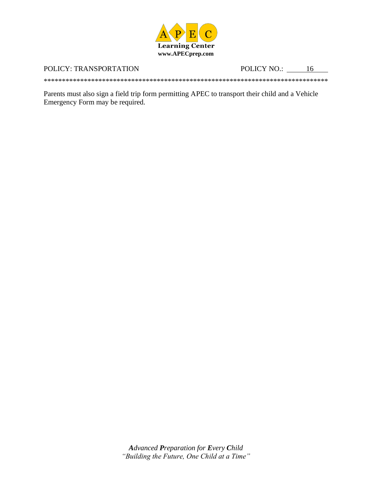

#### POLICY: TRANSPORTATION

POLICY NO.: 16

Parents must also sign a field trip form permitting APEC to transport their child and a Vehicle Emergency Form may be required.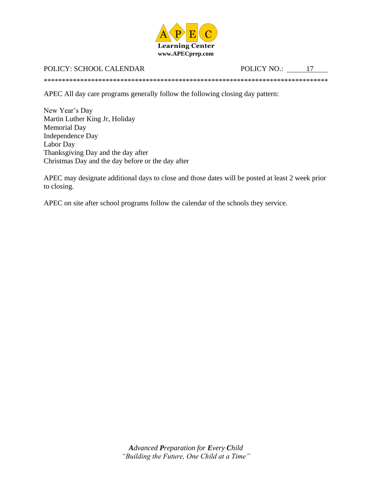

#### POLICY: SCHOOL CALENDAR

POLICY NO.:  $\qquad \qquad$  17

APEC All day care programs generally follow the following closing day pattern:

New Year's Day Martin Luther King Jr, Holiday **Memorial Day** Independence Day Labor Day Thanksgiving Day and the day after Christmas Day and the day before or the day after

APEC may designate additional days to close and those dates will be posted at least 2 week prior to closing.

APEC on site after school programs follow the calendar of the schools they service.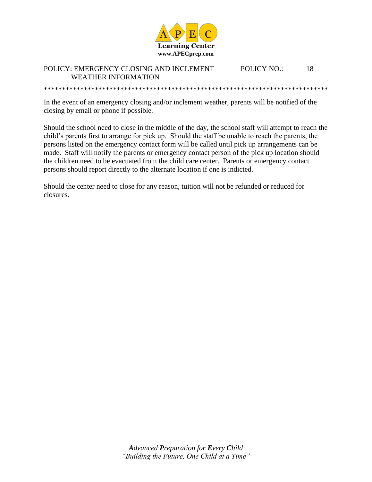

#### POLICY: EMERGENCY CLOSING AND INCLEMENT **WEATHER INFORMATION**

POLICY NO.: 18

In the event of an emergency closing and/or inclement weather, parents will be notified of the closing by email or phone if possible.

Should the school need to close in the middle of the day, the school staff will attempt to reach the child's parents first to arrange for pick up. Should the staff be unable to reach the parents, the persons listed on the emergency contact form will be called until pick up arrangements can be made. Staff will notify the parents or emergency contact person of the pick up location should the children need to be evacuated from the child care center. Parents or emergency contact persons should report directly to the alternate location if one is indicted.

Should the center need to close for any reason, tuition will not be refunded or reduced for closures.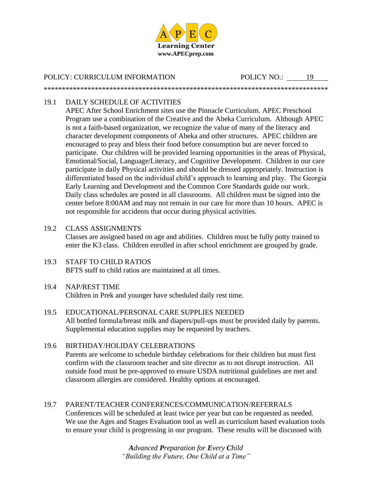

\*\*\*\*\*\*\*\*\*\*\*\*\*\*\*\*\*\*\*\*\*\*\*\*\*\*\*\*\*\*\*\*\*\*\*\*\*\*\*\*\*\*\*\*\*\*\*\*\*\*\*\*\*\*\*\*\*\*\*\*\*\*\*\*\*\*\*\*\*\*\*\*\*\*\*\*\*\*

POLICY: CURRICULUM INFORMATION POLICY NO.: 19

### 19.1 DAILY SCHEDULE OF ACTIVITIES

APEC After School Enrichment sites use the Pinnacle Curriculum. APEC Preschool Program use a combination of the Creative and the Abeka Curriculum. Although APEC is not a faith-based organization, we recognize the value of many of the literacy and character development components of Abeka and other structures. APEC children are encouraged to pray and bless their food before consumption but are never forced to participate. Our children will be provided learning opportunities in the areas of Physical, Emotional/Social, Language/Literacy, and Cognitive Development. Children in our care participate in daily Physical activities and should be dressed appropriately. Instruction is differentiated based on the individual child's approach to learning and play. The Georgia Early Learning and Development and the Common Core Standards guide our work. Daily class schedules are posted in all classrooms. All children must be signed into the center before 8:00AM and may not remain in our care for more than 10 hours. APEC is not responsible for accidents that occur during physical activities.

#### 19.2 CLASS ASSIGNMENTS

Classes are assigned based on age and abilities. Children must be fully potty trained to enter the K3 class. Children enrolled in after school enrichment are grouped by grade.

19.3 STAFF TO CHILD RATIOS BFTS staff to child ratios are maintained at all times.

#### 19.4 NAP/REST TIME

Children in Prek and younger have scheduled daily rest time.

19.5 EDUCATIONAL/PERSONAL CARE SUPPLIES NEEDED All bottled formula/breast milk and diapers/pull-ups must be provided daily by parents. Supplemental education supplies may be requested by teachers.

## 19.6 BIRTHDAY/HOLIDAY CELEBRATIONS

Parents are welcome to schedule birthday celebrations for their children but must first confirm with the classroom teacher and site director as to not disrupt instruction. All outside food must be pre-approved to ensure USDA nutritional guidelines are met and classroom allergies are considered. Healthy options at encouraged.

19.7 PARENT/TEACHER CONFERENCES/COMMUNICATION/REFERRALS Conferences will be scheduled at least twice per year but can be requested as needed. We use the Ages and Stages Evaluation tool as well as curriculum based evaluation tools to ensure your child is progressing in our program. These results will be discussed with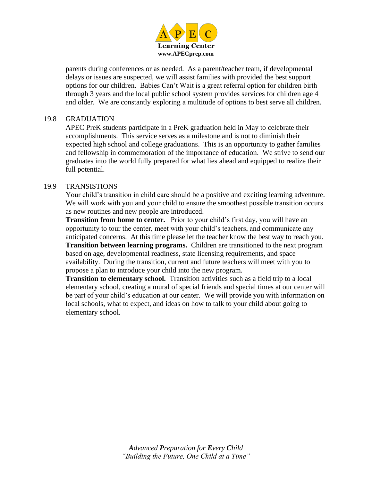

parents during conferences or as needed. As a parent/teacher team, if developmental delays or issues are suspected, we will assist families with provided the best support options for our children. Babies Can't Wait is a great referral option for children birth through 3 years and the local public school system provides services for children age 4 and older. We are constantly exploring a multitude of options to best serve all children.

#### 19.8 GRADUATION

APEC PreK students participate in a PreK graduation held in May to celebrate their accomplishments. This service serves as a milestone and is not to diminish their expected high school and college graduations. This is an opportunity to gather families and fellowship in commemoration of the importance of education. We strive to send our graduates into the world fully prepared for what lies ahead and equipped to realize their full potential.

#### 19.9 TRANSISTIONS

Your child's transition in child care should be a positive and exciting learning adventure. We will work with you and your child to ensure the smoothest possible transition occurs as new routines and new people are introduced.

**Transition from home to center.** Prior to your child's first day, you will have an opportunity to tour the center, meet with your child's teachers, and communicate any anticipated concerns. At this time please let the teacher know the best way to reach you. **Transition between learning programs.** Children are transitioned to the next program based on age, developmental readiness, state licensing requirements, and space availability. During the transition, current and future teachers will meet with you to propose a plan to introduce your child into the new program.

**Transition to elementary school.** Transition activities such as a field trip to a local elementary school, creating a mural of special friends and special times at our center will be part of your child's education at our center. We will provide you with information on local schools, what to expect, and ideas on how to talk to your child about going to elementary school.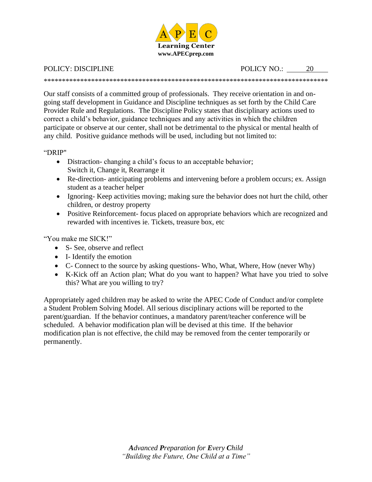

POLICY: DISCIPLINE POLICY NO.: 20

\*\*\*\*\*\*\*\*\*\*\*\*\*\*\*\*\*\*\*\*\*\*\*\*\*\*\*\*\*\*\*\*\*\*\*\*\*\*\*\*\*\*\*\*\*\*\*\*\*\*\*\*\*\*\*\*\*\*\*\*\*\*\*\*\*\*\*\*\*\*\*\*\*\*\*\*\*\*

Our staff consists of a committed group of professionals. They receive orientation in and ongoing staff development in Guidance and Discipline techniques as set forth by the Child Care Provider Rule and Regulations. The Discipline Policy states that disciplinary actions used to correct a child's behavior, guidance techniques and any activities in which the children participate or observe at our center, shall not be detrimental to the physical or mental health of any child. Positive guidance methods will be used, including but not limited to:

"DRIP"

- Distraction-changing a child's focus to an acceptable behavior; Switch it, Change it, Rearrange it
- Re-direction- anticipating problems and intervening before a problem occurs; ex. Assign student as a teacher helper
- Ignoring- Keep activities moving; making sure the behavior does not hurt the child, other children, or destroy property
- Positive Reinforcement- focus placed on appropriate behaviors which are recognized and rewarded with incentives ie. Tickets, treasure box, etc

"You make me SICK!"

- S- See, observe and reflect
- I- Identify the emotion
- C- Connect to the source by asking questions- Who, What, Where, How (never Why)
- K-Kick off an Action plan; What do you want to happen? What have you tried to solve this? What are you willing to try?

Appropriately aged children may be asked to write the APEC Code of Conduct and/or complete a Student Problem Solving Model. All serious disciplinary actions will be reported to the parent/guardian. If the behavior continues, a mandatory parent/teacher conference will be scheduled. A behavior modification plan will be devised at this time. If the behavior modification plan is not effective, the child may be removed from the center temporarily or permanently.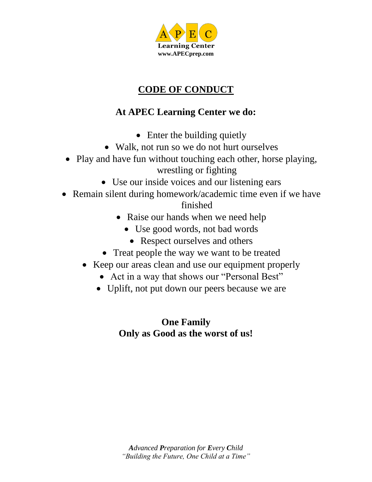

# **CODE OF CONDUCT**

# **At APEC Learning Center we do:**

- Enter the building quietly
- Walk, not run so we do not hurt ourselves
- Play and have fun without touching each other, horse playing, wrestling or fighting
	- Use our inside voices and our listening ears
- Remain silent during homework/academic time even if we have finished
	- Raise our hands when we need help
		- Use good words, not bad words
		- Respect ourselves and others
	- Treat people the way we want to be treated
	- Keep our areas clean and use our equipment properly
		- Act in a way that shows our "Personal Best"
		- Uplift, not put down our peers because we are

## **One Family Only as Good as the worst of us!**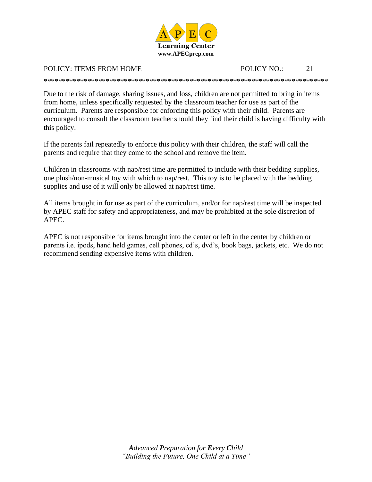

### POLICY: ITEMS FROM HOME POLICY NO.: 21

Due to the risk of damage, sharing issues, and loss, children are not permitted to bring in items from home, unless specifically requested by the classroom teacher for use as part of the curriculum. Parents are responsible for enforcing this policy with their child. Parents are encouraged to consult the classroom teacher should they find their child is having difficulty with this policy.

\*\*\*\*\*\*\*\*\*\*\*\*\*\*\*\*\*\*\*\*\*\*\*\*\*\*\*\*\*\*\*\*\*\*\*\*\*\*\*\*\*\*\*\*\*\*\*\*\*\*\*\*\*\*\*\*\*\*\*\*\*\*\*\*\*\*\*\*\*\*\*\*\*\*\*\*\*\*

If the parents fail repeatedly to enforce this policy with their children, the staff will call the parents and require that they come to the school and remove the item.

Children in classrooms with nap/rest time are permitted to include with their bedding supplies, one plush/non-musical toy with which to nap/rest. This toy is to be placed with the bedding supplies and use of it will only be allowed at nap/rest time.

All items brought in for use as part of the curriculum, and/or for nap/rest time will be inspected by APEC staff for safety and appropriateness, and may be prohibited at the sole discretion of APEC.

APEC is not responsible for items brought into the center or left in the center by children or parents i.e. ipods, hand held games, cell phones, cd's, dvd's, book bags, jackets, etc. We do not recommend sending expensive items with children.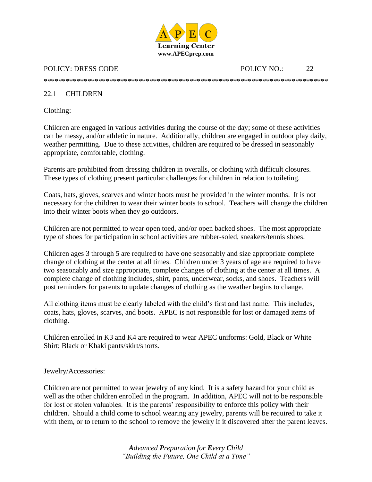

POLICY: DRESS CODE POLICY NO.: 22

## \*\*\*\*\*\*\*\*\*\*\*\*\*\*\*\*\*\*\*\*\*\*\*\*\*\*\*\*\*\*\*\*\*\*\*\*\*\*\*\*\*\*\*\*\*\*\*\*\*\*\*\*\*\*\*\*\*\*\*\*\*\*\*\*\*\*\*\*\*\*\*\*\*\*\*\*\*\*

#### 22.1 CHILDREN

Clothing:

Children are engaged in various activities during the course of the day; some of these activities can be messy, and/or athletic in nature. Additionally, children are engaged in outdoor play daily, weather permitting. Due to these activities, children are required to be dressed in seasonably appropriate, comfortable, clothing.

Parents are prohibited from dressing children in overalls, or clothing with difficult closures. These types of clothing present particular challenges for children in relation to toileting.

Coats, hats, gloves, scarves and winter boots must be provided in the winter months. It is not necessary for the children to wear their winter boots to school. Teachers will change the children into their winter boots when they go outdoors.

Children are not permitted to wear open toed, and/or open backed shoes. The most appropriate type of shoes for participation in school activities are rubber-soled, sneakers/tennis shoes.

Children ages 3 through 5 are required to have one seasonably and size appropriate complete change of clothing at the center at all times. Children under 3 years of age are required to have two seasonably and size appropriate, complete changes of clothing at the center at all times. A complete change of clothing includes, shirt, pants, underwear, socks, and shoes. Teachers will post reminders for parents to update changes of clothing as the weather begins to change.

All clothing items must be clearly labeled with the child's first and last name. This includes, coats, hats, gloves, scarves, and boots. APEC is not responsible for lost or damaged items of clothing.

Children enrolled in K3 and K4 are required to wear APEC uniforms: Gold, Black or White Shirt; Black or Khaki pants/skirt/shorts.

#### Jewelry/Accessories:

Children are not permitted to wear jewelry of any kind. It is a safety hazard for your child as well as the other children enrolled in the program. In addition, APEC will not to be responsible for lost or stolen valuables. It is the parents' responsibility to enforce this policy with their children. Should a child come to school wearing any jewelry, parents will be required to take it with them, or to return to the school to remove the jewelry if it discovered after the parent leaves.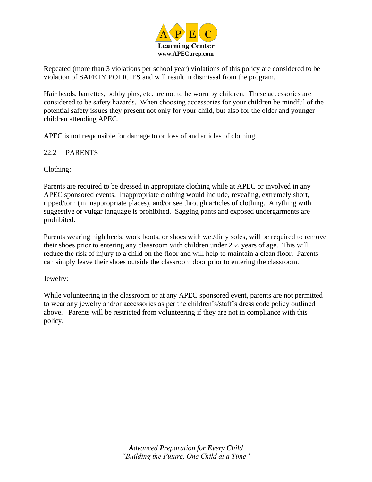

Repeated (more than 3 violations per school year) violations of this policy are considered to be violation of SAFETY POLICIES and will result in dismissal from the program.

Hair beads, barrettes, bobby pins, etc. are not to be worn by children. These accessories are considered to be safety hazards. When choosing accessories for your children be mindful of the potential safety issues they present not only for your child, but also for the older and younger children attending APEC.

APEC is not responsible for damage to or loss of and articles of clothing.

#### 22.2 PARENTS

Clothing:

Parents are required to be dressed in appropriate clothing while at APEC or involved in any APEC sponsored events. Inappropriate clothing would include, revealing, extremely short, ripped/torn (in inappropriate places), and/or see through articles of clothing. Anything with suggestive or vulgar language is prohibited. Sagging pants and exposed undergarments are prohibited.

Parents wearing high heels, work boots, or shoes with wet/dirty soles, will be required to remove their shoes prior to entering any classroom with children under 2 ½ years of age. This will reduce the risk of injury to a child on the floor and will help to maintain a clean floor. Parents can simply leave their shoes outside the classroom door prior to entering the classroom.

Jewelry:

While volunteering in the classroom or at any APEC sponsored event, parents are not permitted to wear any jewelry and/or accessories as per the children's/staff's dress code policy outlined above. Parents will be restricted from volunteering if they are not in compliance with this policy.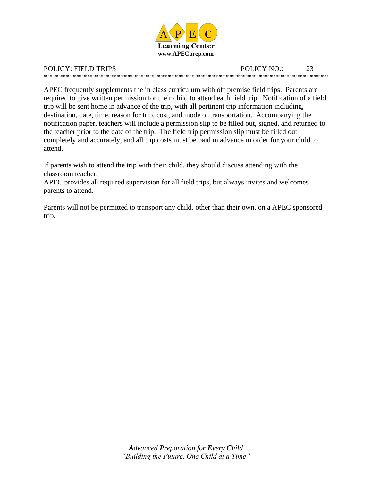

POLICY: FIELD TRIPS POLICY NO.: 23 \*\*\*\*\*\*\*\*\*\*\*\*\*\*\*\*\*\*\*\*\*\*\*\*\*\*\*\*\*\*\*\*\*\*\*\*\*\*\*\*\*\*\*\*\*\*\*\*\*\*\*\*\*\*\*\*\*\*\*\*\*\*\*\*\*\*\*\*\*\*\*\*\*\*\*\*\*\*

APEC frequently supplements the in class curriculum with off premise field trips. Parents are required to give written permission for their child to attend each field trip. Notification of a field trip will be sent home in advance of the trip, with all pertinent trip information including, destination, date, time, reason for trip, cost, and mode of transportation. Accompanying the notification paper, teachers will include a permission slip to be filled out, signed, and returned to the teacher prior to the date of the trip. The field trip permission slip must be filled out completely and accurately, and all trip costs must be paid in advance in order for your child to attend.

If parents wish to attend the trip with their child, they should discuss attending with the classroom teacher.

APEC provides all required supervision for all field trips, but always invites and welcomes parents to attend.

Parents will not be permitted to transport any child, other than their own, on a APEC sponsored trip.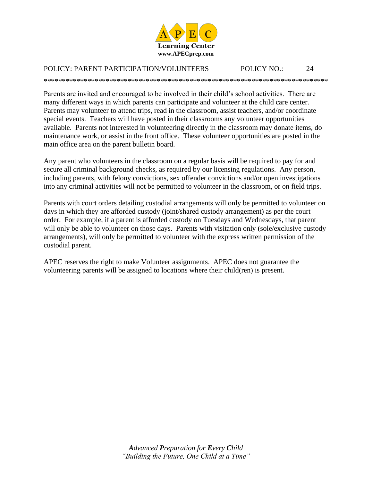

\*\*\*\*\*\*\*\*\*\*\*\*\*\*\*\*\*\*\*\*\*\*\*\*\*\*\*\*\*\*\*\*\*\*\*\*\*\*\*\*\*\*\*\*\*\*\*\*\*\*\*\*\*\*\*\*\*\*\*\*\*\*\*\*\*\*\*\*\*\*\*\*\*\*\*\*\*\*

#### POLICY: PARENT PARTICIPATION/VOLUNTEERS POLICY NO.: 24

Parents are invited and encouraged to be involved in their child's school activities. There are many different ways in which parents can participate and volunteer at the child care center. Parents may volunteer to attend trips, read in the classroom, assist teachers, and/or coordinate special events. Teachers will have posted in their classrooms any volunteer opportunities available. Parents not interested in volunteering directly in the classroom may donate items, do maintenance work, or assist in the front office. These volunteer opportunities are posted in the main office area on the parent bulletin board.

Any parent who volunteers in the classroom on a regular basis will be required to pay for and secure all criminal background checks, as required by our licensing regulations. Any person, including parents, with felony convictions, sex offender convictions and/or open investigations into any criminal activities will not be permitted to volunteer in the classroom, or on field trips.

Parents with court orders detailing custodial arrangements will only be permitted to volunteer on days in which they are afforded custody (joint/shared custody arrangement) as per the court order. For example, if a parent is afforded custody on Tuesdays and Wednesdays, that parent will only be able to volunteer on those days. Parents with visitation only (sole/exclusive custody arrangements), will only be permitted to volunteer with the express written permission of the custodial parent.

APEC reserves the right to make Volunteer assignments. APEC does not guarantee the volunteering parents will be assigned to locations where their child(ren) is present.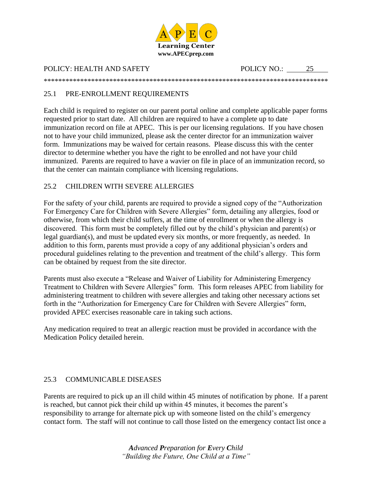

#### POLICY: HEALTH AND SAFETY POLICY NO.: 25

\*\*\*\*\*\*\*\*\*\*\*\*\*\*\*\*\*\*\*\*\*\*\*\*\*\*\*\*\*\*\*\*\*\*\*\*\*\*\*\*\*\*\*\*\*\*\*\*\*\*\*\*\*\*\*\*\*\*\*\*\*\*\*\*\*\*\*\*\*\*\*\*\*\*\*\*\*\*

#### 25.1 PRE-ENROLLMENT REQUIREMENTS

Each child is required to register on our parent portal online and complete applicable paper forms requested prior to start date. All children are required to have a complete up to date immunization record on file at APEC. This is per our licensing regulations. If you have chosen not to have your child immunized, please ask the center director for an immunization waiver form. Immunizations may be waived for certain reasons. Please discuss this with the center director to determine whether you have the right to be enrolled and not have your child immunized. Parents are required to have a wavier on file in place of an immunization record, so that the center can maintain compliance with licensing regulations.

#### 25.2 CHILDREN WITH SEVERE ALLERGIES

For the safety of your child, parents are required to provide a signed copy of the "Authorization For Emergency Care for Children with Severe Allergies" form, detailing any allergies, food or otherwise, from which their child suffers, at the time of enrollment or when the allergy is discovered. This form must be completely filled out by the child's physician and parent(s) or legal guardian(s), and must be updated every six months, or more frequently, as needed. In addition to this form, parents must provide a copy of any additional physician's orders and procedural guidelines relating to the prevention and treatment of the child's allergy. This form can be obtained by request from the site director.

Parents must also execute a "Release and Waiver of Liability for Administering Emergency Treatment to Children with Severe Allergies" form. This form releases APEC from liability for administering treatment to children with severe allergies and taking other necessary actions set forth in the "Authorization for Emergency Care for Children with Severe Allergies" form, provided APEC exercises reasonable care in taking such actions.

Any medication required to treat an allergic reaction must be provided in accordance with the Medication Policy detailed herein.

#### 25.3 COMMUNICABLE DISEASES

Parents are required to pick up an ill child within 45 minutes of notification by phone. If a parent is reached, but cannot pick their child up within 45 minutes, it becomes the parent's responsibility to arrange for alternate pick up with someone listed on the child's emergency contact form. The staff will not continue to call those listed on the emergency contact list once a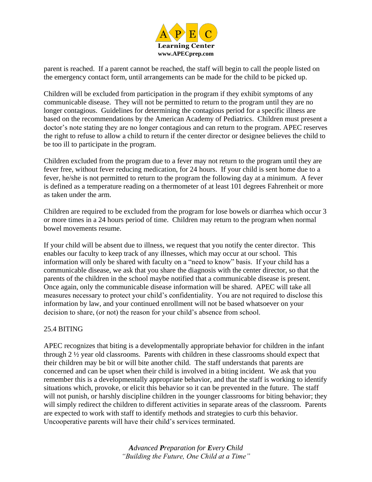

parent is reached. If a parent cannot be reached, the staff will begin to call the people listed on the emergency contact form, until arrangements can be made for the child to be picked up.

Children will be excluded from participation in the program if they exhibit symptoms of any communicable disease. They will not be permitted to return to the program until they are no longer contagious. Guidelines for determining the contagious period for a specific illness are based on the recommendations by the American Academy of Pediatrics. Children must present a doctor's note stating they are no longer contagious and can return to the program. APEC reserves the right to refuse to allow a child to return if the center director or designee believes the child to be too ill to participate in the program.

Children excluded from the program due to a fever may not return to the program until they are fever free, without fever reducing medication, for 24 hours. If your child is sent home due to a fever, he/she is not permitted to return to the program the following day at a minimum. A fever is defined as a temperature reading on a thermometer of at least 101 degrees Fahrenheit or more as taken under the arm.

Children are required to be excluded from the program for lose bowels or diarrhea which occur 3 or more times in a 24 hours period of time. Children may return to the program when normal bowel movements resume.

If your child will be absent due to illness, we request that you notify the center director. This enables our faculty to keep track of any illnesses, which may occur at our school. This information will only be shared with faculty on a "need to know" basis. If your child has a communicable disease, we ask that you share the diagnosis with the center director, so that the parents of the children in the school maybe notified that a communicable disease is present. Once again, only the communicable disease information will be shared. APEC will take all measures necessary to protect your child's confidentiality. You are not required to disclose this information by law, and your continued enrollment will not be based whatsoever on your decision to share, (or not) the reason for your child's absence from school.

#### 25.4 BITING

APEC recognizes that biting is a developmentally appropriate behavior for children in the infant through 2 ½ year old classrooms. Parents with children in these classrooms should expect that their children may be bit or will bite another child. The staff understands that parents are concerned and can be upset when their child is involved in a biting incident. We ask that you remember this is a developmentally appropriate behavior, and that the staff is working to identify situations which, provoke, or elicit this behavior so it can be prevented in the future. The staff will not punish, or harshly discipline children in the younger classrooms for biting behavior; they will simply redirect the children to different activities in separate areas of the classroom. Parents are expected to work with staff to identify methods and strategies to curb this behavior. Uncooperative parents will have their child's services terminated.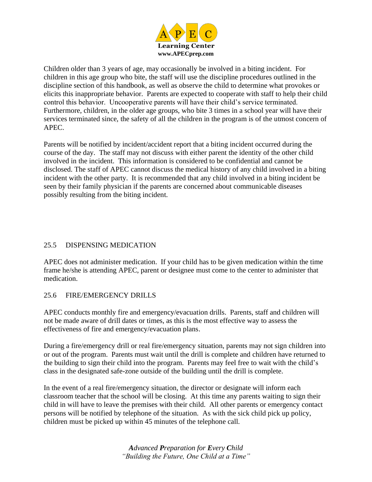

Children older than 3 years of age, may occasionally be involved in a biting incident. For children in this age group who bite, the staff will use the discipline procedures outlined in the discipline section of this handbook, as well as observe the child to determine what provokes or elicits this inappropriate behavior. Parents are expected to cooperate with staff to help their child control this behavior. Uncooperative parents will have their child's service terminated. Furthermore, children, in the older age groups, who bite 3 times in a school year will have their services terminated since, the safety of all the children in the program is of the utmost concern of APEC.

Parents will be notified by incident/accident report that a biting incident occurred during the course of the day. The staff may not discuss with either parent the identity of the other child involved in the incident. This information is considered to be confidential and cannot be disclosed. The staff of APEC cannot discuss the medical history of any child involved in a biting incident with the other party. It is recommended that any child involved in a biting incident be seen by their family physician if the parents are concerned about communicable diseases possibly resulting from the biting incident.

#### 25.5 DISPENSING MEDICATION

APEC does not administer medication. If your child has to be given medication within the time frame he/she is attending APEC, parent or designee must come to the center to administer that medication.

#### 25.6 FIRE/EMERGENCY DRILLS

APEC conducts monthly fire and emergency/evacuation drills. Parents, staff and children will not be made aware of drill dates or times, as this is the most effective way to assess the effectiveness of fire and emergency/evacuation plans.

During a fire/emergency drill or real fire/emergency situation, parents may not sign children into or out of the program. Parents must wait until the drill is complete and children have returned to the building to sign their child into the program. Parents may feel free to wait with the child's class in the designated safe-zone outside of the building until the drill is complete.

In the event of a real fire/emergency situation, the director or designate will inform each classroom teacher that the school will be closing. At this time any parents waiting to sign their child in will have to leave the premises with their child. All other parents or emergency contact persons will be notified by telephone of the situation. As with the sick child pick up policy, children must be picked up within 45 minutes of the telephone call.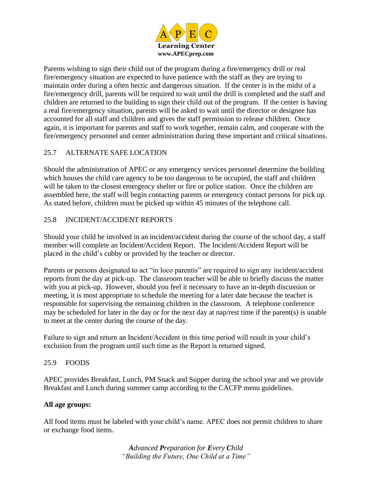

Parents wishing to sign their child out of the program during a fire/emergency drill or real fire/emergency situation are expected to have patience with the staff as they are trying to maintain order during a often hectic and dangerous situation. If the center is in the midst of a fire/emergency drill, parents will be required to wait until the drill is completed and the staff and children are returned to the building to sign their child out of the program. If the center is having a real fire/emergency situation, parents will be asked to wait until the director or designee has accounted for all staff and children and gives the staff permission to release children. Once again, it is important for parents and staff to work together, remain calm, and cooperate with the fire/emergency personnel and center administration during these important and critical situations.

#### 25.7 ALTERNATE SAFE LOCATION

Should the administration of APEC or any emergency services personnel determine the building which houses the child care agency to be too dangerous to be occupied, the staff and children will be taken to the closest emergency shelter or fire or police station. Once the children are assembled here, the staff will begin contacting parents or emergency contact persons for pick up. As stated before, children must be picked up within 45 minutes of the telephone call.

#### 25.8 INCIDENT/ACCIDENT REPORTS

Should your child be involved in an incident/accident during the course of the school day, a staff member will complete an Incident/Accident Report. The Incident/Accident Report will be placed in the child's cubby or provided by the teacher or director.

Parents or persons designated to act "in loco parentis" are required to sign any incident/accident reports from the day at pick-up. The classroom teacher will be able to briefly discuss the matter with you at pick-up. However, should you feel it necessary to have an in-depth discussion or meeting, it is most appropriate to schedule the meeting for a later date because the teacher is responsible for supervising the remaining children in the classroom. A telephone conference may be scheduled for later in the day or for the next day at nap/rest time if the parent(s) is unable to meet at the center during the course of the day.

Failure to sign and return an Incident/Accident in this time period will result in your child's exclusion from the program until such time as the Report is returned signed.

#### 25.9 FOODS

APEC provides Breakfast, Lunch, PM Snack and Supper during the school year and we provide Breakfast and Lunch during summer camp according to the CACFP menu guidelines.

#### **All age groups:**

All food items must be labeled with your child's name. APEC does not permit children to share or exchange food items.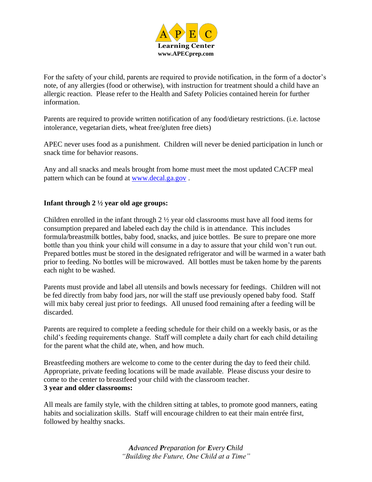

For the safety of your child, parents are required to provide notification, in the form of a doctor's note, of any allergies (food or otherwise), with instruction for treatment should a child have an allergic reaction. Please refer to the Health and Safety Policies contained herein for further information.

Parents are required to provide written notification of any food/dietary restrictions. (i.e. lactose intolerance, vegetarian diets, wheat free/gluten free diets)

APEC never uses food as a punishment. Children will never be denied participation in lunch or snack time for behavior reasons.

Any and all snacks and meals brought from home must meet the most updated CACFP meal pattern which can be found at [www.decal.ga.gov](http://www.decal.ga.gov/) .

#### **Infant through 2 ½ year old age groups:**

Children enrolled in the infant through  $2 \frac{1}{2}$  year old classrooms must have all food items for consumption prepared and labeled each day the child is in attendance. This includes formula/breastmilk bottles, baby food, snacks, and juice bottles. Be sure to prepare one more bottle than you think your child will consume in a day to assure that your child won't run out. Prepared bottles must be stored in the designated refrigerator and will be warmed in a water bath prior to feeding. No bottles will be microwaved. All bottles must be taken home by the parents each night to be washed.

Parents must provide and label all utensils and bowls necessary for feedings. Children will not be fed directly from baby food jars, nor will the staff use previously opened baby food. Staff will mix baby cereal just prior to feedings. All unused food remaining after a feeding will be discarded.

Parents are required to complete a feeding schedule for their child on a weekly basis, or as the child's feeding requirements change. Staff will complete a daily chart for each child detailing for the parent what the child ate, when, and how much.

Breastfeeding mothers are welcome to come to the center during the day to feed their child. Appropriate, private feeding locations will be made available. Please discuss your desire to come to the center to breastfeed your child with the classroom teacher. **3 year and older classrooms:**

All meals are family style, with the children sitting at tables, to promote good manners, eating habits and socialization skills. Staff will encourage children to eat their main entrée first, followed by healthy snacks.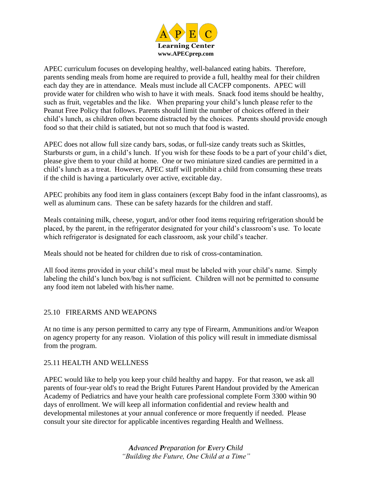

APEC curriculum focuses on developing healthy, well-balanced eating habits. Therefore, parents sending meals from home are required to provide a full, healthy meal for their children each day they are in attendance. Meals must include all CACFP components. APEC will provide water for children who wish to have it with meals. Snack food items should be healthy, such as fruit, vegetables and the like. When preparing your child's lunch please refer to the Peanut Free Policy that follows. Parents should limit the number of choices offered in their child's lunch, as children often become distracted by the choices. Parents should provide enough food so that their child is satiated, but not so much that food is wasted.

APEC does not allow full size candy bars, sodas, or full-size candy treats such as Skittles, Starbursts or gum, in a child's lunch. If you wish for these foods to be a part of your child's diet, please give them to your child at home. One or two miniature sized candies are permitted in a child's lunch as a treat. However, APEC staff will prohibit a child from consuming these treats if the child is having a particularly over active, excitable day.

APEC prohibits any food item in glass containers (except Baby food in the infant classrooms), as well as aluminum cans. These can be safety hazards for the children and staff.

Meals containing milk, cheese, yogurt, and/or other food items requiring refrigeration should be placed, by the parent, in the refrigerator designated for your child's classroom's use. To locate which refrigerator is designated for each classroom, ask your child's teacher.

Meals should not be heated for children due to risk of cross-contamination.

All food items provided in your child's meal must be labeled with your child's name. Simply labeling the child's lunch box/bag is not sufficient. Children will not be permitted to consume any food item not labeled with his/her name.

#### 25.10 FIREARMS AND WEAPONS

At no time is any person permitted to carry any type of Firearm, Ammunitions and/or Weapon on agency property for any reason. Violation of this policy will result in immediate dismissal from the program.

#### 25.11 HEALTH AND WELLNESS

APEC would like to help you keep your child healthy and happy. For that reason, we ask all parents of four-year old's to read the Bright Futures Parent Handout provided by the American Academy of Pediatrics and have your health care professional complete Form 3300 within 90 days of enrollment. We will keep all information confidential and review health and developmental milestones at your annual conference or more frequently if needed. Please consult your site director for applicable incentives regarding Health and Wellness.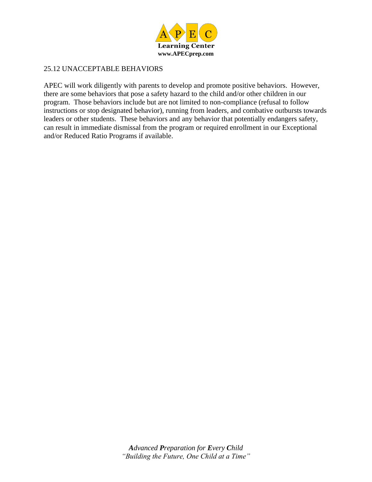

#### 25.12 UNACCEPTABLE BEHAVIORS

APEC will work diligently with parents to develop and promote positive behaviors. However, there are some behaviors that pose a safety hazard to the child and/or other children in our program. Those behaviors include but are not limited to non-compliance (refusal to follow instructions or stop designated behavior), running from leaders, and combative outbursts towards leaders or other students. These behaviors and any behavior that potentially endangers safety, can result in immediate dismissal from the program or required enrollment in our Exceptional and/or Reduced Ratio Programs if available.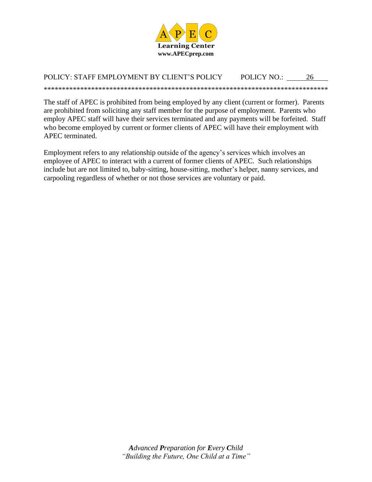

#### POLICY: STAFF EMPLOYMENT BY CLIENT'S POLICY POLICY NO.: 26

The staff of APEC is prohibited from being employed by any client (current or former). Parents are prohibited from soliciting any staff member for the purpose of employment. Parents who employ APEC staff will have their services terminated and any payments will be forfeited. Staff who become employed by current or former clients of APEC will have their employment with APEC terminated.

Employment refers to any relationship outside of the agency's services which involves an employee of APEC to interact with a current of former clients of APEC. Such relationships include but are not limited to, baby-sitting, house-sitting, mother's helper, nanny services, and carpooling regardless of whether or not those services are voluntary or paid.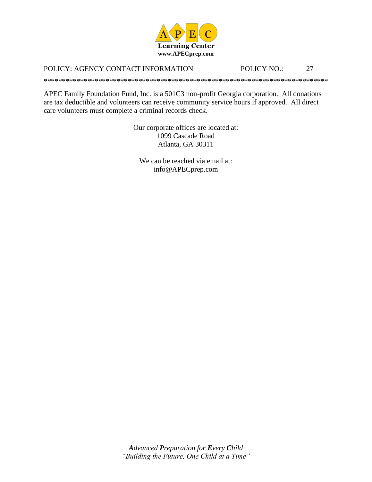

#### POLICY: AGENCY CONTACT INFORMATION

POLICY NO.: 27

APEC Family Foundation Fund, Inc. is a 501C3 non-profit Georgia corporation. All donations are tax deductible and volunteers can receive community service hours if approved. All direct care volunteers must complete a criminal records check.

> Our corporate offices are located at: 1099 Cascade Road Atlanta, GA 30311

We can be reached via email at: info@APECprep.com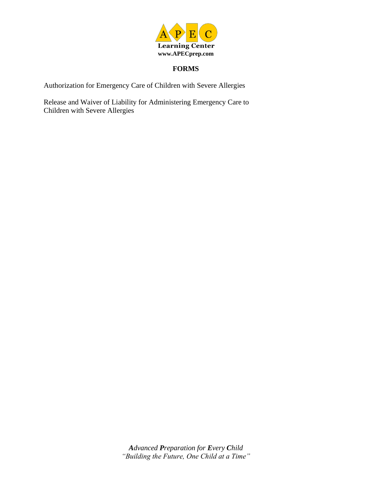

#### **FORMS**

Authorization for Emergency Care of Children with Severe Allergies

Release and Waiver of Liability for Administering Emergency Care to Children with Severe Allergies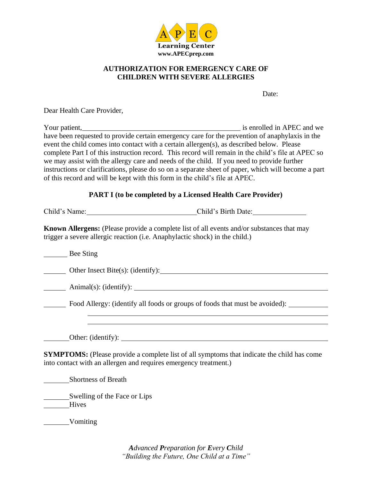

#### **AUTHORIZATION FOR EMERGENCY CARE OF CHILDREN WITH SEVERE ALLERGIES**

Date:

Dear Health Care Provider,

| Your patient,                                                                                       | is enrolled in APEC and we |
|-----------------------------------------------------------------------------------------------------|----------------------------|
| have been requested to provide certain emergency care for the prevention of anaphylaxis in the      |                            |
| event the child comes into contact with a certain allergen(s), as described below. Please           |                            |
| complete Part I of this instruction record. This record will remain in the child's file at APEC so  |                            |
| we may assist with the allergy care and needs of the child. If you need to provide further          |                            |
| instructions or clarifications, please do so on a separate sheet of paper, which will become a part |                            |
| of this record and will be kept with this form in the child's file at APEC.                         |                            |
|                                                                                                     |                            |

#### **PART I (to be completed by a Licensed Health Care Provider)**

Child's Name: Child's Birth Date:

**Known Allergens:** (Please provide a complete list of all events and/or substances that may trigger a severe allergic reaction (i.e. Anaphylactic shock) in the child.)

Bee Sting Other Insect Bite(s): (identify): Animal(s): (identify): Food Allergy: (identify all foods or groups of foods that must be avoided): Other: (identify): **SYMPTOMS:** (Please provide a complete list of all symptoms that indicate the child has come into contact with an allergen and requires emergency treatment.) Shortness of Breath Swelling of the Face or Lips **Hives** 

Vomiting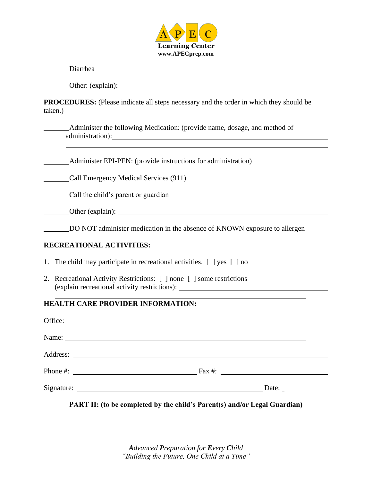

Diarrhea

Other: (explain):

**PROCEDURES:** (Please indicate all steps necessary and the order in which they should be taken.)

| Administer the following Medication: (provide name, dosage, and method of |  |  |
|---------------------------------------------------------------------------|--|--|
| administration):                                                          |  |  |

Administer EPI-PEN: (provide instructions for administration)

Call Emergency Medical Services (911)

Call the child's parent or guardian

Other (explain): <u>New York: New York: New York: New York: New York: New York: New York: New York: New York: New York: New York: New York: New York: New York: New York: New York: New York: New York: New York: New York: New </u>

DO NOT administer medication in the absence of KNOWN exposure to allergen

#### **RECREATIONAL ACTIVITIES:**

- 1. The child may participate in recreational activities. [ ] yes [ ] no
- 2. Recreational Activity Restrictions: [ ] none [ ] some restrictions (explain recreational activity restrictions):

#### **HEALTH CARE PROVIDER INFORMATION:**

| Office:                                                                   |                                                    |  |
|---------------------------------------------------------------------------|----------------------------------------------------|--|
|                                                                           |                                                    |  |
|                                                                           |                                                    |  |
|                                                                           | Phone #: $\frac{1}{2}$ Fax #: $\frac{1}{2}$ Fax #: |  |
|                                                                           | Signature: Date:                                   |  |
| PART II: (to be completed by the child's Parent(s) and/or Legal Guardian) |                                                    |  |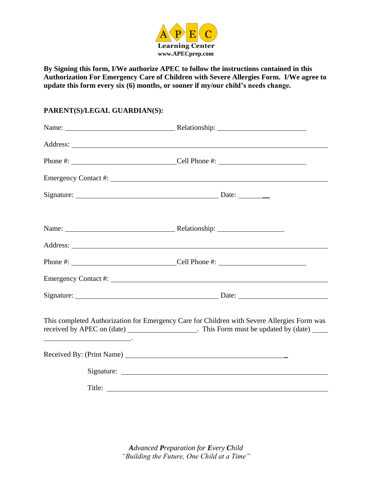

**By Signing this form, I/We authorize APEC to follow the instructions contained in this Authorization For Emergency Care of Children with Severe Allergies Form. I/We agree to update this form every six (6) months, or sooner if my/our child's needs change.**

#### **PARENT(S)/LEGAL GUARDIAN(S):**

| Name: Name: Name: Name: Nelationship: Nelationship: Name: Name: Name: Name: Name: Name: Name: Name: Name: Name: Name: Name: Name: Name: Name: Name: Name: Name: Name: Name: Name: Name: Name: Name: Name: Name: Name: Name: Na |                                                                                                                                                                                              |
|--------------------------------------------------------------------------------------------------------------------------------------------------------------------------------------------------------------------------------|----------------------------------------------------------------------------------------------------------------------------------------------------------------------------------------------|
|                                                                                                                                                                                                                                |                                                                                                                                                                                              |
|                                                                                                                                                                                                                                |                                                                                                                                                                                              |
|                                                                                                                                                                                                                                |                                                                                                                                                                                              |
|                                                                                                                                                                                                                                |                                                                                                                                                                                              |
|                                                                                                                                                                                                                                | This completed Authorization for Emergency Care for Children with Severe Allergies Form was<br>received by APEC on (date) _______________________. This Form must be updated by (date) _____ |
|                                                                                                                                                                                                                                |                                                                                                                                                                                              |
|                                                                                                                                                                                                                                |                                                                                                                                                                                              |
|                                                                                                                                                                                                                                |                                                                                                                                                                                              |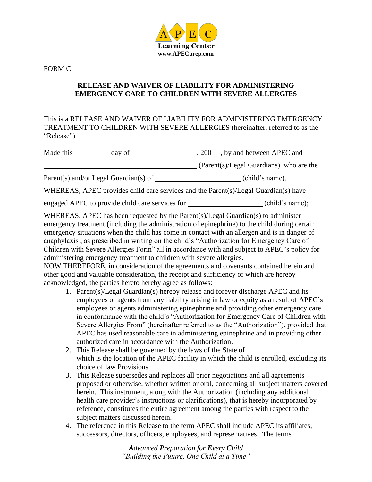

FORM C

#### **RELEASE AND WAIVER OF LIABILITY FOR ADMINISTERING EMERGENCY CARE TO CHILDREN WITH SEVERE ALLERGIES**

This is a RELEASE AND WAIVER OF LIABILITY FOR ADMINISTERING EMERGENCY TREATMENT TO CHILDREN WITH SEVERE ALLERGIES (hereinafter, referred to as the "Release")

| Made this<br>200, by and between APEC and<br>day of |                                         |
|-----------------------------------------------------|-----------------------------------------|
|                                                     | (Parent(s)/Legal Guardians) who are the |
| Parent(s) and/or Legal Guardian(s) of               | (child's name).                         |
|                                                     |                                         |

WHEREAS, APEC provides child care services and the Parent(s)/Legal Guardian(s) have

engaged APEC to provide child care services for (child's name);

WHEREAS, APEC has been requested by the Parent(s)/Legal Guardian(s) to administer emergency treatment (including the administration of epinephrine) to the child during certain emergency situations when the child has come in contact with an allergen and is in danger of anaphylaxis , as prescribed in writing on the child's "Authorization for Emergency Care of Children with Severe Allergies Form" all in accordance with and subject to APEC's policy for administering emergency treatment to children with severe allergies.

NOW THEREFORE, in consideration of the agreements and covenants contained herein and other good and valuable consideration, the receipt and sufficiency of which are hereby acknowledged, the parties hereto hereby agree as follows:

- 1. Parent(s)/Legal Guardian(s) hereby release and forever discharge APEC and its employees or agents from any liability arising in law or equity as a result of APEC's employees or agents administering epinephrine and providing other emergency care in conformance with the child's "Authorization for Emergency Care of Children with Severe Allergies From" (hereinafter referred to as the "Authorization"), provided that APEC has used reasonable care in administering epinephrine and in providing other authorized care in accordance with the Authorization.
- 2. This Release shall be governed by the laws of the State of which is the location of the APEC facility in which the child is enrolled, excluding its choice of law Provisions.
- 3. This Release supersedes and replaces all prior negotiations and all agreements proposed or otherwise, whether written or oral, concerning all subject matters covered herein. This instrument, along with the Authorization (including any additional health care provider's instructions or clarifications), that is hereby incorporated by reference, constitutes the entire agreement among the parties with respect to the subject matters discussed herein.
- 4. The reference in this Release to the term APEC shall include APEC its affiliates, successors, directors, officers, employees, and representatives. The terms